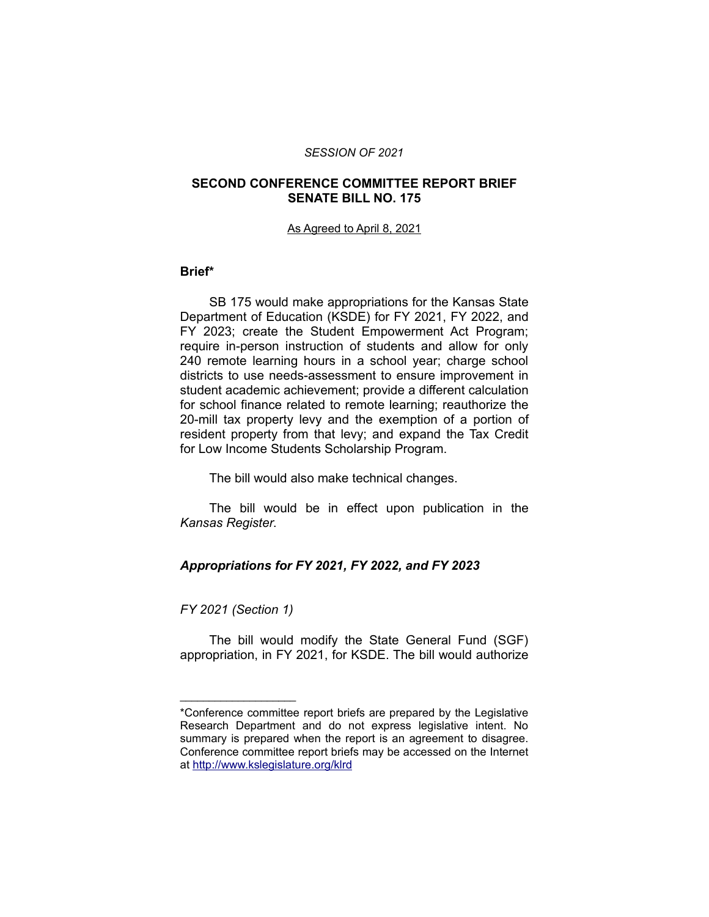#### *SESSION OF 2021*

### **SECOND CONFERENCE COMMITTEE REPORT BRIEF SENATE BILL NO. 175**

#### As Agreed to April 8, 2021

### **Brief\***

SB 175 would make appropriations for the Kansas State Department of Education (KSDE) for FY 2021, FY 2022, and FY 2023; create the Student Empowerment Act Program; require in-person instruction of students and allow for only 240 remote learning hours in a school year; charge school districts to use needs-assessment to ensure improvement in student academic achievement; provide a different calculation for school finance related to remote learning; reauthorize the 20-mill tax property levy and the exemption of a portion of resident property from that levy; and expand the Tax Credit for Low Income Students Scholarship Program.

The bill would also make technical changes.

The bill would be in effect upon publication in the *Kansas Register*.

## *Appropriations for FY 2021, FY 2022, and FY 2023*

### *FY 2021 (Section 1)*

\_\_\_\_\_\_\_\_\_\_\_\_\_\_\_\_\_\_\_\_

The bill would modify the State General Fund (SGF) appropriation, in FY 2021, for KSDE. The bill would authorize

<sup>\*</sup>Conference committee report briefs are prepared by the Legislative Research Department and do not express legislative intent. No summary is prepared when the report is an agreement to disagree. Conference committee report briefs may be accessed on the Internet at<http://www.kslegislature.org/klrd>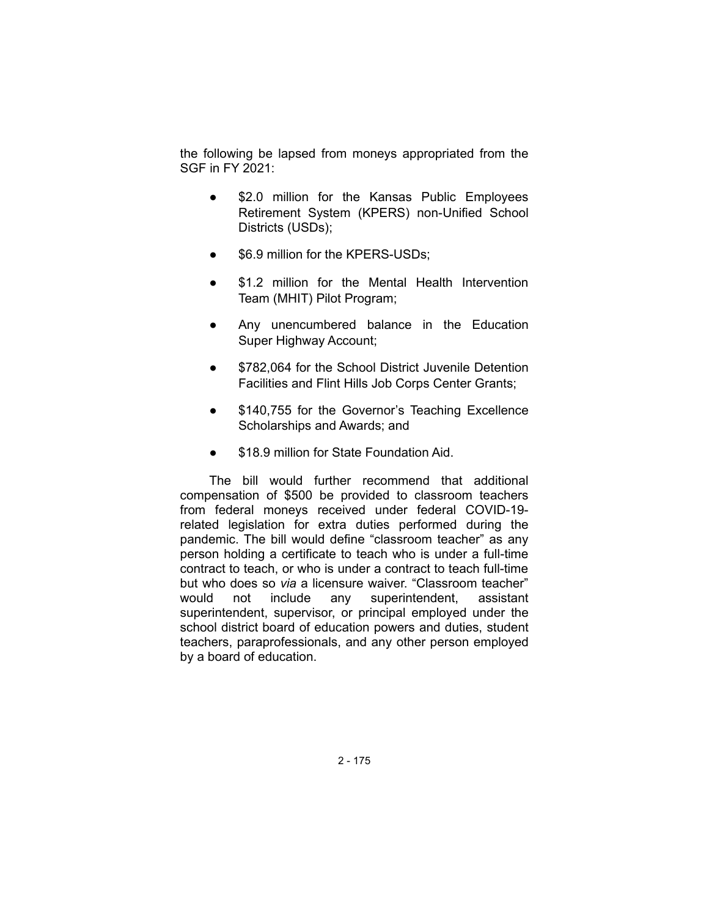the following be lapsed from moneys appropriated from the SGF in FY 2021:

- \$2.0 million for the Kansas Public Employees Retirement System (KPERS) non-Unified School Districts (USDs);
- \$6.9 million for the KPERS-USDs;
- \$1.2 million for the Mental Health Intervention Team (MHIT) Pilot Program;
- Any unencumbered balance in the Education Super Highway Account;
- \$782,064 for the School District Juvenile Detention Facilities and Flint Hills Job Corps Center Grants;
- \$140,755 for the Governor's Teaching Excellence Scholarships and Awards; and
- \$18.9 million for State Foundation Aid.

The bill would further recommend that additional compensation of \$500 be provided to classroom teachers from federal moneys received under federal COVID-19 related legislation for extra duties performed during the pandemic. The bill would define "classroom teacher" as any person holding a certificate to teach who is under a full-time contract to teach, or who is under a contract to teach full-time but who does so *via* a licensure waiver. "Classroom teacher" would not include any superintendent, assistant superintendent, supervisor, or principal employed under the school district board of education powers and duties, student teachers, paraprofessionals, and any other person employed by a board of education.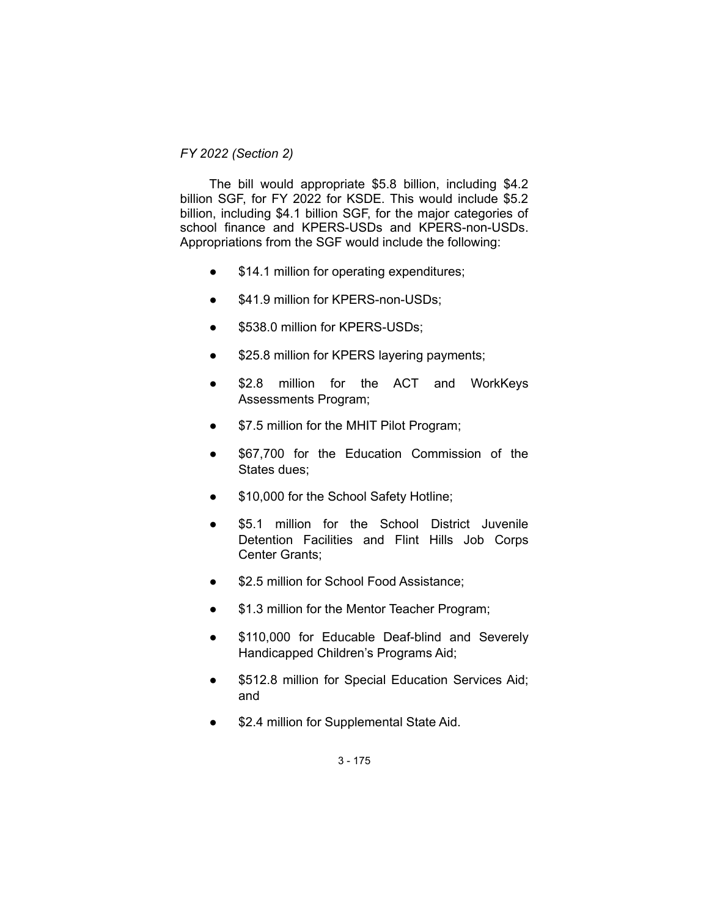## *FY 2022 (Section 2)*

The bill would appropriate \$5.8 billion, including \$4.2 billion SGF, for FY 2022 for KSDE. This would include \$5.2 billion, including \$4.1 billion SGF, for the major categories of school finance and KPERS-USDs and KPERS-non-USDs. Appropriations from the SGF would include the following:

- \$14.1 million for operating expenditures;
- \$41.9 million for KPERS-non-USDs;
- \$538.0 million for KPERS-USDs;
- \$25.8 million for KPERS layering payments;
- \$2.8 million for the ACT and WorkKeys Assessments Program;
- \$7.5 million for the MHIT Pilot Program;
- \$67,700 for the Education Commission of the States dues;
- \$10,000 for the School Safety Hotline;
- \$5.1 million for the School District Juvenile Detention Facilities and Flint Hills Job Corps Center Grants;
- \$2.5 million for School Food Assistance;
- \$1.3 million for the Mentor Teacher Program;
- \$110,000 for Educable Deaf-blind and Severely Handicapped Children's Programs Aid;
- \$512.8 million for Special Education Services Aid; and
- \$2.4 million for Supplemental State Aid.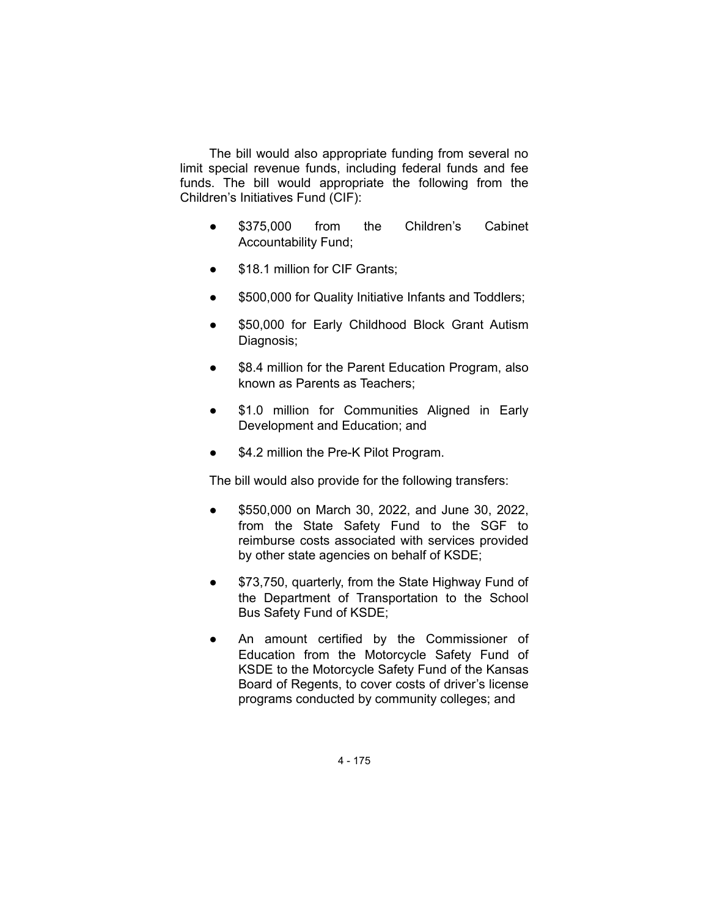The bill would also appropriate funding from several no limit special revenue funds, including federal funds and fee funds. The bill would appropriate the following from the Children's Initiatives Fund (CIF):

- \$375,000 from the Children's Cabinet Accountability Fund;
- \$18.1 million for CIF Grants;
- \$500,000 for Quality Initiative Infants and Toddlers;
- \$50,000 for Early Childhood Block Grant Autism Diagnosis;
- \$8.4 million for the Parent Education Program, also known as Parents as Teachers;
- \$1.0 million for Communities Aligned in Early Development and Education; and
- \$4.2 million the Pre-K Pilot Program.

The bill would also provide for the following transfers:

- \$550,000 on March 30, 2022, and June 30, 2022, from the State Safety Fund to the SGF to reimburse costs associated with services provided by other state agencies on behalf of KSDE;
- \$73,750, quarterly, from the State Highway Fund of the Department of Transportation to the School Bus Safety Fund of KSDE;
- An amount certified by the Commissioner of Education from the Motorcycle Safety Fund of KSDE to the Motorcycle Safety Fund of the Kansas Board of Regents, to cover costs of driver's license programs conducted by community colleges; and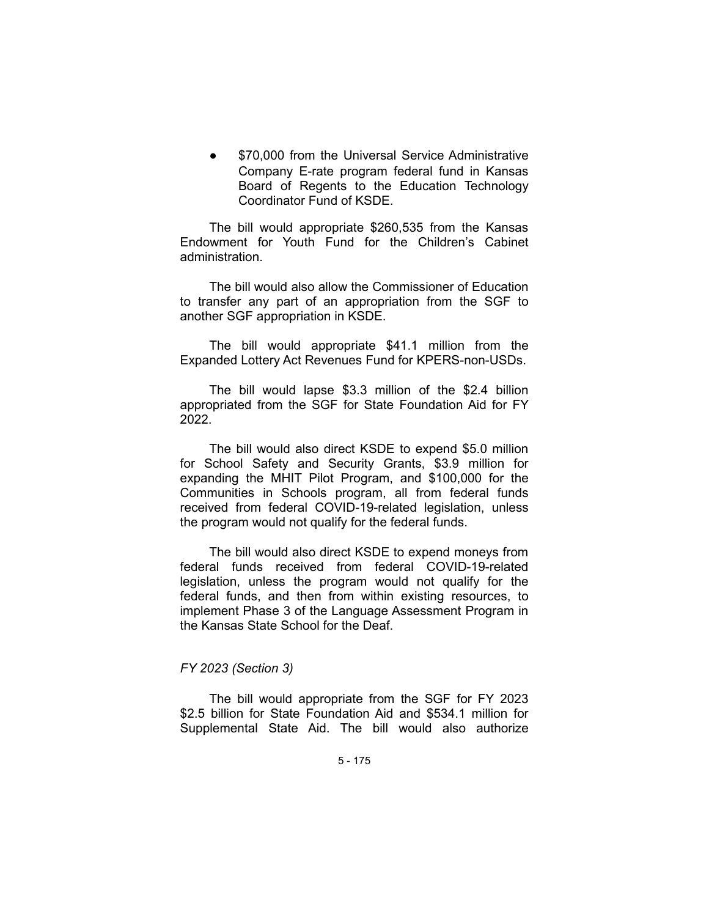\$70,000 from the Universal Service Administrative Company E-rate program federal fund in Kansas Board of Regents to the Education Technology Coordinator Fund of KSDE.

The bill would appropriate \$260,535 from the Kansas Endowment for Youth Fund for the Children's Cabinet administration.

The bill would also allow the Commissioner of Education to transfer any part of an appropriation from the SGF to another SGF appropriation in KSDE.

The bill would appropriate \$41.1 million from the Expanded Lottery Act Revenues Fund for KPERS-non-USDs.

The bill would lapse \$3.3 million of the \$2.4 billion appropriated from the SGF for State Foundation Aid for FY 2022.

The bill would also direct KSDE to expend \$5.0 million for School Safety and Security Grants, \$3.9 million for expanding the MHIT Pilot Program, and \$100,000 for the Communities in Schools program, all from federal funds received from federal COVID-19-related legislation, unless the program would not qualify for the federal funds.

The bill would also direct KSDE to expend moneys from federal funds received from federal COVID-19-related legislation, unless the program would not qualify for the federal funds, and then from within existing resources, to implement Phase 3 of the Language Assessment Program in the Kansas State School for the Deaf.

## *FY 2023 (Section 3)*

The bill would appropriate from the SGF for FY 2023 \$2.5 billion for State Foundation Aid and \$534.1 million for Supplemental State Aid. The bill would also authorize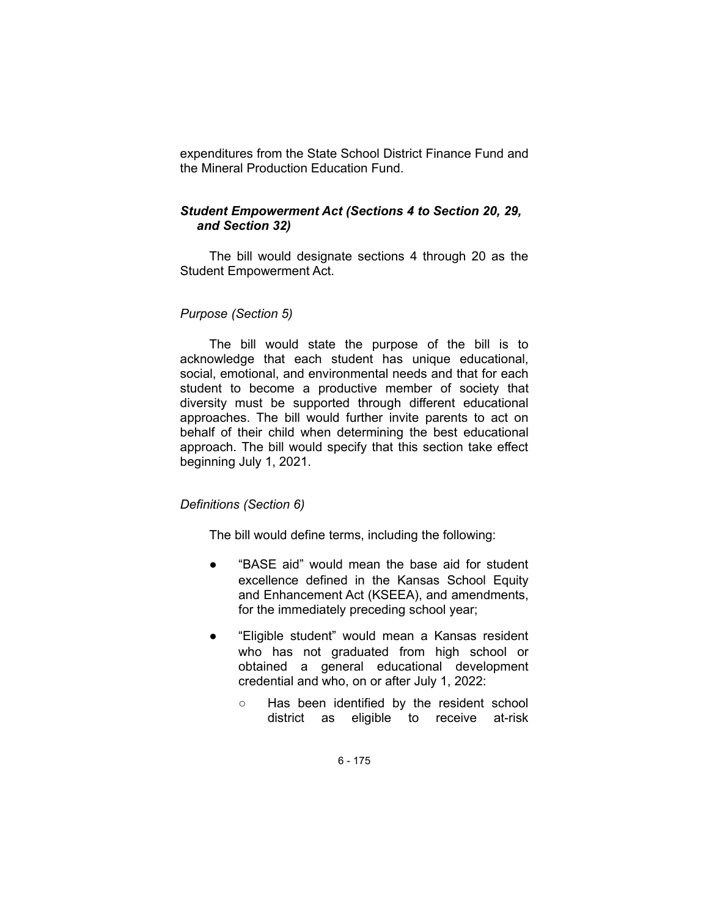expenditures from the State School District Finance Fund and the Mineral Production Education Fund.

## *Student Empowerment Act (Sections 4 to Section 20, 29, and Section 32)*

The bill would designate sections 4 through 20 as the Student Empowerment Act.

## *Purpose (Section 5)*

The bill would state the purpose of the bill is to acknowledge that each student has unique educational, social, emotional, and environmental needs and that for each student to become a productive member of society that diversity must be supported through different educational approaches. The bill would further invite parents to act on behalf of their child when determining the best educational approach. The bill would specify that this section take effect beginning July 1, 2021.

## *Definitions (Section 6)*

The bill would define terms, including the following:

- "BASE aid" would mean the base aid for student excellence defined in the Kansas School Equity and Enhancement Act (KSEEA), and amendments, for the immediately preceding school year;
- "Eligible student" would mean a Kansas resident who has not graduated from high school or obtained a general educational development credential and who, on or after July 1, 2022:
	- Has been identified by the resident school district as eligible to receive at-risk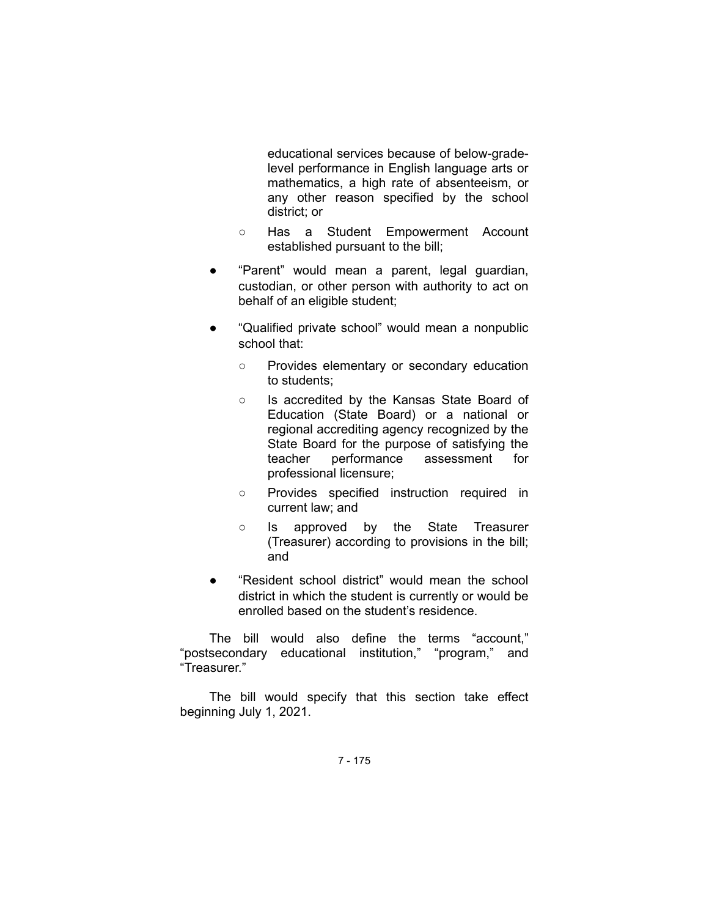educational services because of below-gradelevel performance in English language arts or mathematics, a high rate of absenteeism, or any other reason specified by the school district; or

- Has a Student Empowerment Account established pursuant to the bill;
- "Parent" would mean a parent, legal guardian, custodian, or other person with authority to act on behalf of an eligible student;
- "Qualified private school" would mean a nonpublic school that:
	- Provides elementary or secondary education to students;
	- Is accredited by the Kansas State Board of Education (State Board) or a national or regional accrediting agency recognized by the State Board for the purpose of satisfying the teacher performance assessment for professional licensure;
	- Provides specified instruction required in current law; and
	- Is approved by the State Treasurer (Treasurer) according to provisions in the bill; and
- "Resident school district" would mean the school district in which the student is currently or would be enrolled based on the student's residence.

The bill would also define the terms "account," "postsecondary educational institution," "program," and "Treasurer."

The bill would specify that this section take effect beginning July 1, 2021.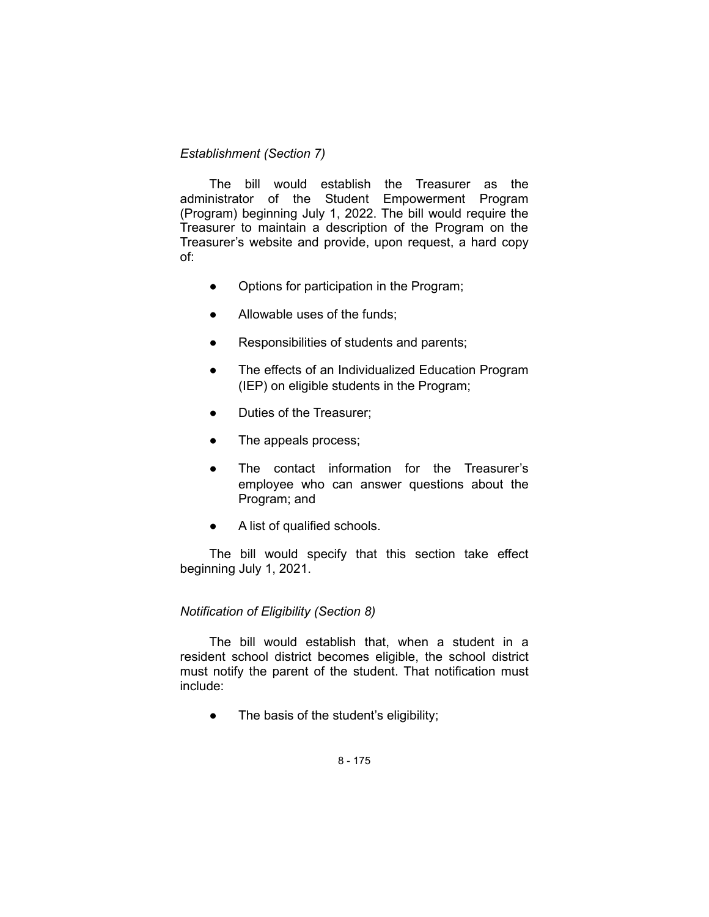# *Establishment (Section 7)*

The bill would establish the Treasurer as the administrator of the Student Empowerment Program (Program) beginning July 1, 2022. The bill would require the Treasurer to maintain a description of the Program on the Treasurer's website and provide, upon request, a hard copy of:

- Options for participation in the Program;
- Allowable uses of the funds:
- Responsibilities of students and parents;
- The effects of an Individualized Education Program (IEP) on eligible students in the Program;
- Duties of the Treasurer;
- The appeals process;
- The contact information for the Treasurer's employee who can answer questions about the Program; and
- A list of qualified schools.

The bill would specify that this section take effect beginning July 1, 2021.

## *Notification of Eligibility (Section 8)*

The bill would establish that, when a student in a resident school district becomes eligible, the school district must notify the parent of the student. That notification must include:

• The basis of the student's eligibility;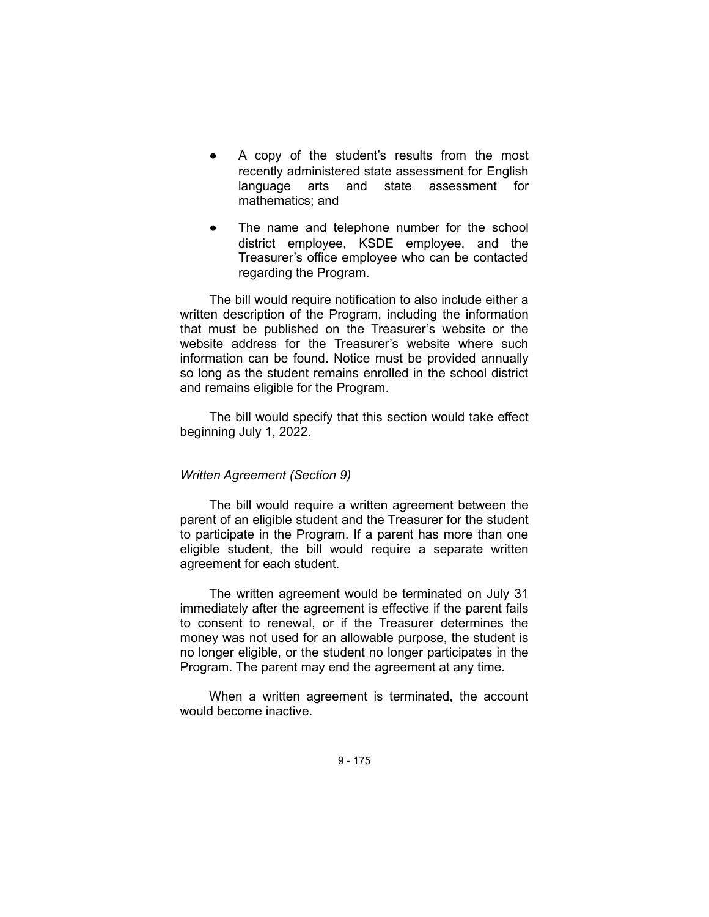- A copy of the student's results from the most recently administered state assessment for English language arts and state assessment for mathematics; and
- The name and telephone number for the school district employee, KSDE employee, and the Treasurer's office employee who can be contacted regarding the Program.

The bill would require notification to also include either a written description of the Program, including the information that must be published on the Treasurer's website or the website address for the Treasurer's website where such information can be found. Notice must be provided annually so long as the student remains enrolled in the school district and remains eligible for the Program.

The bill would specify that this section would take effect beginning July 1, 2022.

## *Written Agreement (Section 9)*

The bill would require a written agreement between the parent of an eligible student and the Treasurer for the student to participate in the Program. If a parent has more than one eligible student, the bill would require a separate written agreement for each student.

The written agreement would be terminated on July 31 immediately after the agreement is effective if the parent fails to consent to renewal, or if the Treasurer determines the money was not used for an allowable purpose, the student is no longer eligible, or the student no longer participates in the Program. The parent may end the agreement at any time.

When a written agreement is terminated, the account would become inactive.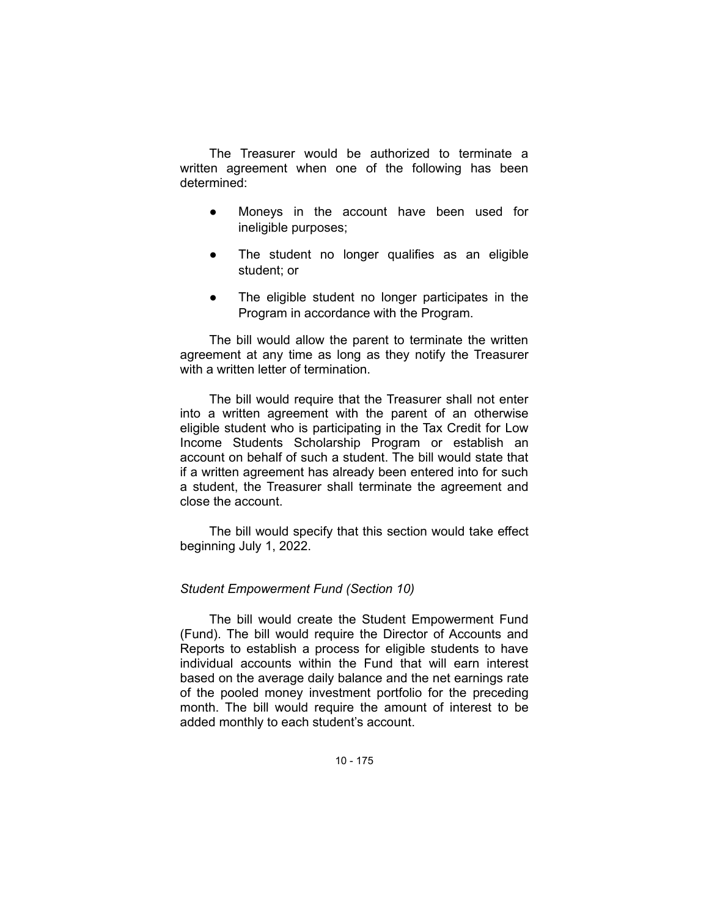The Treasurer would be authorized to terminate a written agreement when one of the following has been determined:

- Moneys in the account have been used for ineligible purposes;
- The student no longer qualifies as an eligible student; or
- The eligible student no longer participates in the Program in accordance with the Program.

The bill would allow the parent to terminate the written agreement at any time as long as they notify the Treasurer with a written letter of termination.

The bill would require that the Treasurer shall not enter into a written agreement with the parent of an otherwise eligible student who is participating in the Tax Credit for Low Income Students Scholarship Program or establish an account on behalf of such a student. The bill would state that if a written agreement has already been entered into for such a student, the Treasurer shall terminate the agreement and close the account.

The bill would specify that this section would take effect beginning July 1, 2022.

## *Student Empowerment Fund (Section 10)*

The bill would create the Student Empowerment Fund (Fund). The bill would require the Director of Accounts and Reports to establish a process for eligible students to have individual accounts within the Fund that will earn interest based on the average daily balance and the net earnings rate of the pooled money investment portfolio for the preceding month. The bill would require the amount of interest to be added monthly to each student's account.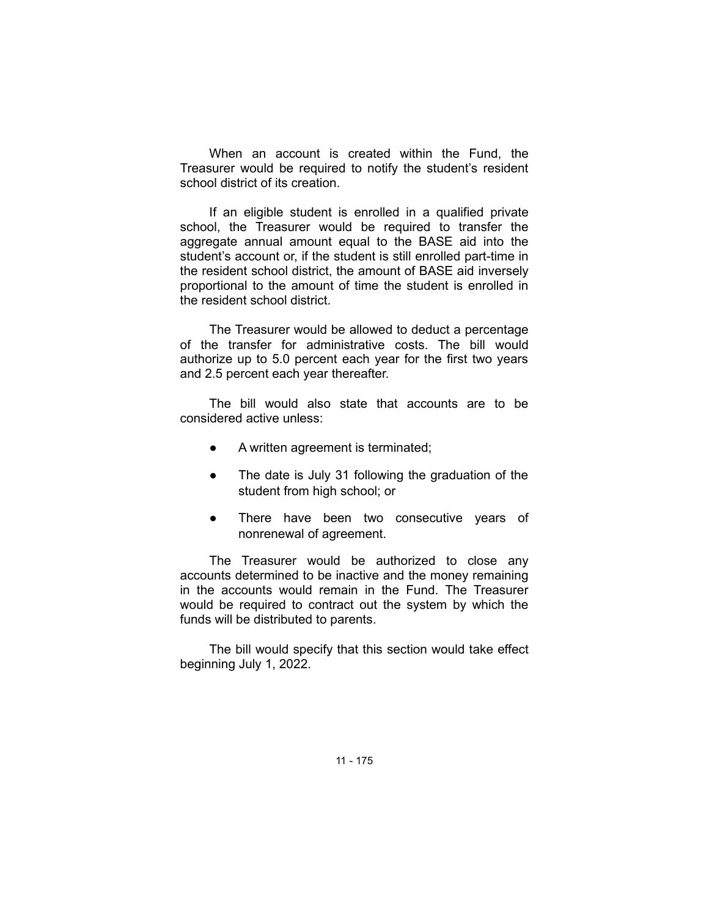When an account is created within the Fund, the Treasurer would be required to notify the student's resident school district of its creation.

If an eligible student is enrolled in a qualified private school, the Treasurer would be required to transfer the aggregate annual amount equal to the BASE aid into the student's account or, if the student is still enrolled part-time in the resident school district, the amount of BASE aid inversely proportional to the amount of time the student is enrolled in the resident school district.

The Treasurer would be allowed to deduct a percentage of the transfer for administrative costs. The bill would authorize up to 5.0 percent each year for the first two years and 2.5 percent each year thereafter.

The bill would also state that accounts are to be considered active unless:

- A written agreement is terminated;
- The date is July 31 following the graduation of the student from high school; or
- There have been two consecutive years of nonrenewal of agreement.

The Treasurer would be authorized to close any accounts determined to be inactive and the money remaining in the accounts would remain in the Fund. The Treasurer would be required to contract out the system by which the funds will be distributed to parents.

The bill would specify that this section would take effect beginning July 1, 2022.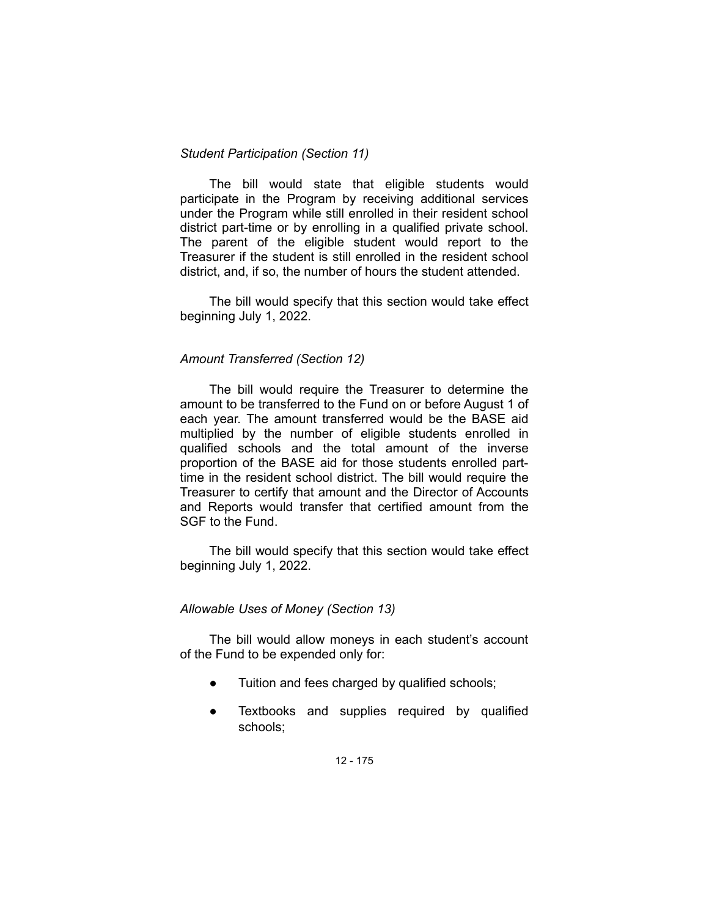### *Student Participation (Section 11)*

The bill would state that eligible students would participate in the Program by receiving additional services under the Program while still enrolled in their resident school district part-time or by enrolling in a qualified private school. The parent of the eligible student would report to the Treasurer if the student is still enrolled in the resident school district, and, if so, the number of hours the student attended.

The bill would specify that this section would take effect beginning July 1, 2022.

### *Amount Transferred (Section 12)*

The bill would require the Treasurer to determine the amount to be transferred to the Fund on or before August 1 of each year. The amount transferred would be the BASE aid multiplied by the number of eligible students enrolled in qualified schools and the total amount of the inverse proportion of the BASE aid for those students enrolled parttime in the resident school district. The bill would require the Treasurer to certify that amount and the Director of Accounts and Reports would transfer that certified amount from the SGF to the Fund.

The bill would specify that this section would take effect beginning July 1, 2022.

### *Allowable Uses of Money (Section 13)*

The bill would allow moneys in each student's account of the Fund to be expended only for:

- Tuition and fees charged by qualified schools;
- Textbooks and supplies required by qualified schools;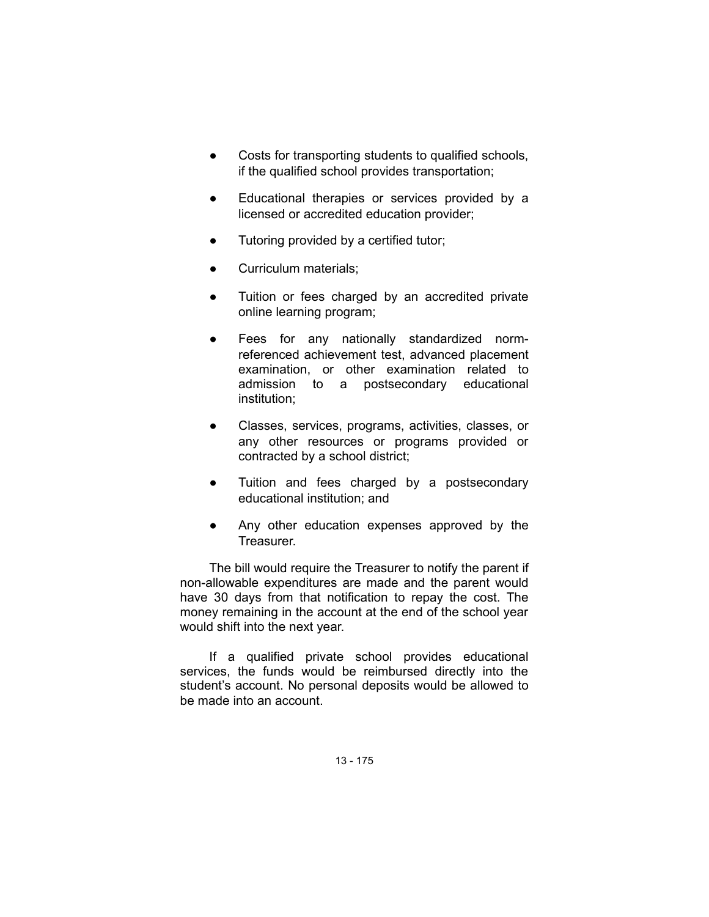- Costs for transporting students to qualified schools, if the qualified school provides transportation;
- Educational therapies or services provided by a licensed or accredited education provider;
- Tutoring provided by a certified tutor;
- Curriculum materials;
- Tuition or fees charged by an accredited private online learning program;
- Fees for any nationally standardized normreferenced achievement test, advanced placement examination, or other examination related to admission to a postsecondary educational institution;
- Classes, services, programs, activities, classes, or any other resources or programs provided or contracted by a school district;
- Tuition and fees charged by a postsecondary educational institution; and
- Any other education expenses approved by the Treasurer.

The bill would require the Treasurer to notify the parent if non-allowable expenditures are made and the parent would have 30 days from that notification to repay the cost. The money remaining in the account at the end of the school year would shift into the next year.

If a qualified private school provides educational services, the funds would be reimbursed directly into the student's account. No personal deposits would be allowed to be made into an account.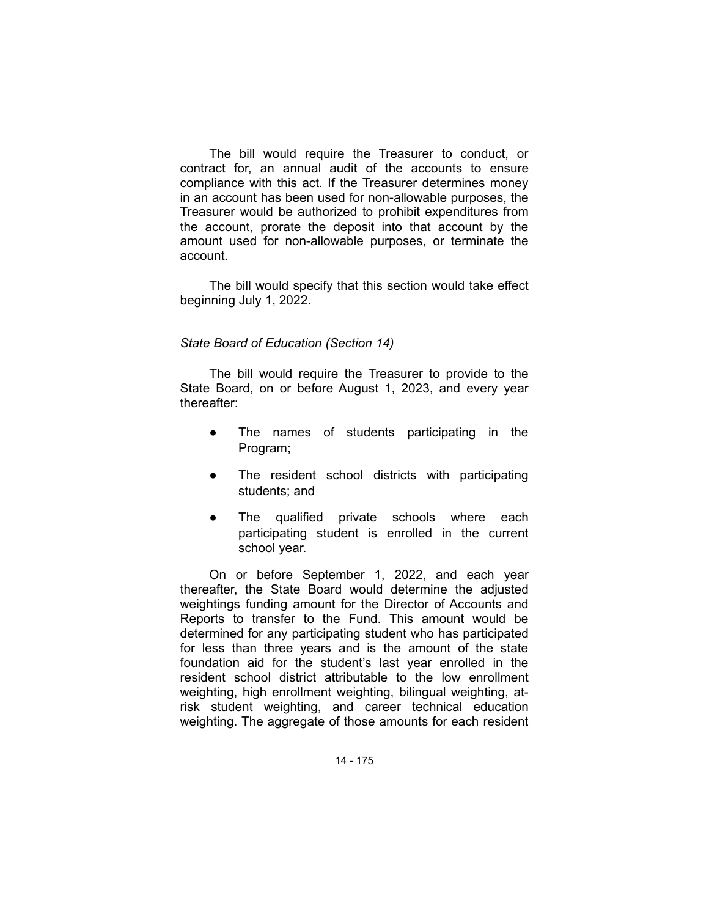The bill would require the Treasurer to conduct, or contract for, an annual audit of the accounts to ensure compliance with this act. If the Treasurer determines money in an account has been used for non-allowable purposes, the Treasurer would be authorized to prohibit expenditures from the account, prorate the deposit into that account by the amount used for non-allowable purposes, or terminate the account.

The bill would specify that this section would take effect beginning July 1, 2022.

## *State Board of Education (Section 14)*

The bill would require the Treasurer to provide to the State Board, on or before August 1, 2023, and every year thereafter:

- The names of students participating in the Program;
- The resident school districts with participating students; and
- The qualified private schools where each participating student is enrolled in the current school year.

On or before September 1, 2022, and each year thereafter, the State Board would determine the adjusted weightings funding amount for the Director of Accounts and Reports to transfer to the Fund. This amount would be determined for any participating student who has participated for less than three years and is the amount of the state foundation aid for the student's last year enrolled in the resident school district attributable to the low enrollment weighting, high enrollment weighting, bilingual weighting, atrisk student weighting, and career technical education weighting. The aggregate of those amounts for each resident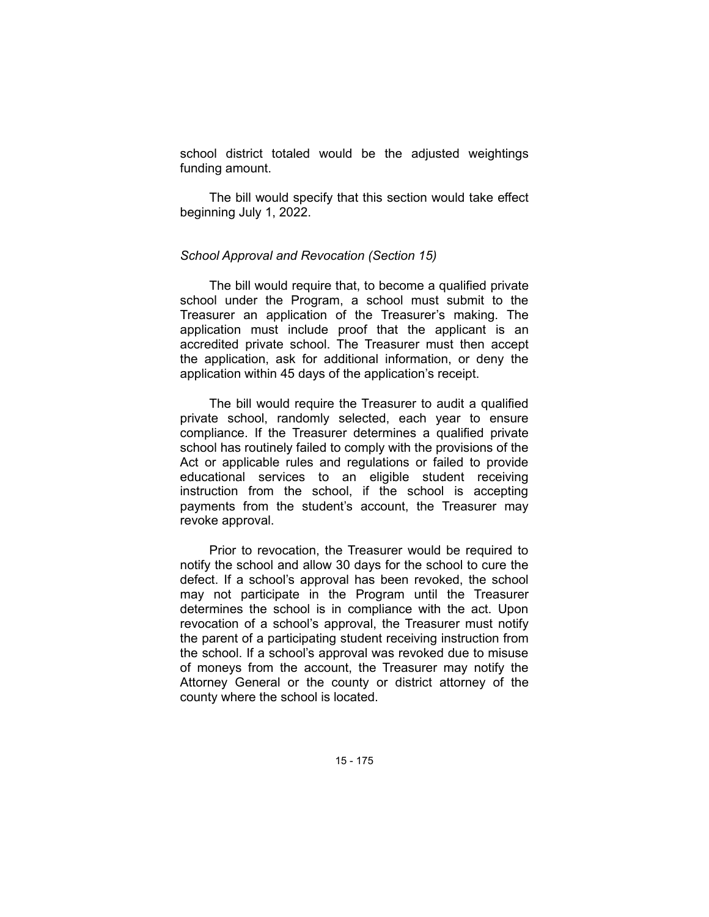school district totaled would be the adjusted weightings funding amount.

The bill would specify that this section would take effect beginning July 1, 2022.

### *School Approval and Revocation (Section 15)*

The bill would require that, to become a qualified private school under the Program, a school must submit to the Treasurer an application of the Treasurer's making. The application must include proof that the applicant is an accredited private school. The Treasurer must then accept the application, ask for additional information, or deny the application within 45 days of the application's receipt.

The bill would require the Treasurer to audit a qualified private school, randomly selected, each year to ensure compliance. If the Treasurer determines a qualified private school has routinely failed to comply with the provisions of the Act or applicable rules and regulations or failed to provide educational services to an eligible student receiving instruction from the school, if the school is accepting payments from the student's account, the Treasurer may revoke approval.

Prior to revocation, the Treasurer would be required to notify the school and allow 30 days for the school to cure the defect. If a school's approval has been revoked, the school may not participate in the Program until the Treasurer determines the school is in compliance with the act. Upon revocation of a school's approval, the Treasurer must notify the parent of a participating student receiving instruction from the school. If a school's approval was revoked due to misuse of moneys from the account, the Treasurer may notify the Attorney General or the county or district attorney of the county where the school is located.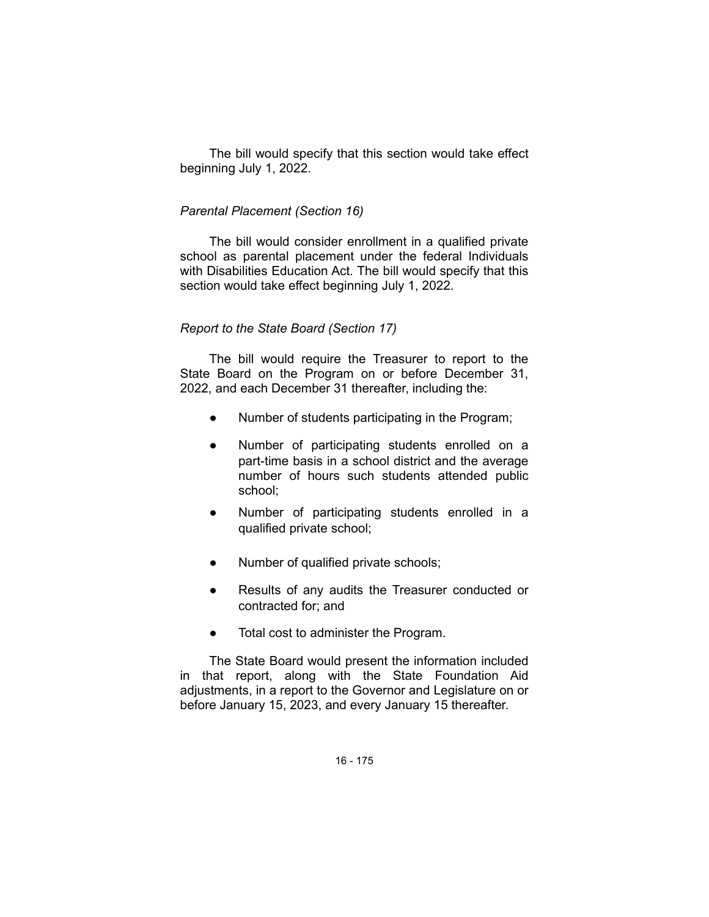The bill would specify that this section would take effect beginning July 1, 2022.

### *Parental Placement (Section 16)*

The bill would consider enrollment in a qualified private school as parental placement under the federal Individuals with Disabilities Education Act. The bill would specify that this section would take effect beginning July 1, 2022.

### *Report to the State Board (Section 17)*

The bill would require the Treasurer to report to the State Board on the Program on or before December 31, 2022, and each December 31 thereafter, including the:

- Number of students participating in the Program;
- Number of participating students enrolled on a part-time basis in a school district and the average number of hours such students attended public school;
- Number of participating students enrolled in a qualified private school;
- Number of qualified private schools;
- Results of any audits the Treasurer conducted or contracted for; and
- Total cost to administer the Program.

The State Board would present the information included in that report, along with the State Foundation Aid adjustments, in a report to the Governor and Legislature on or before January 15, 2023, and every January 15 thereafter.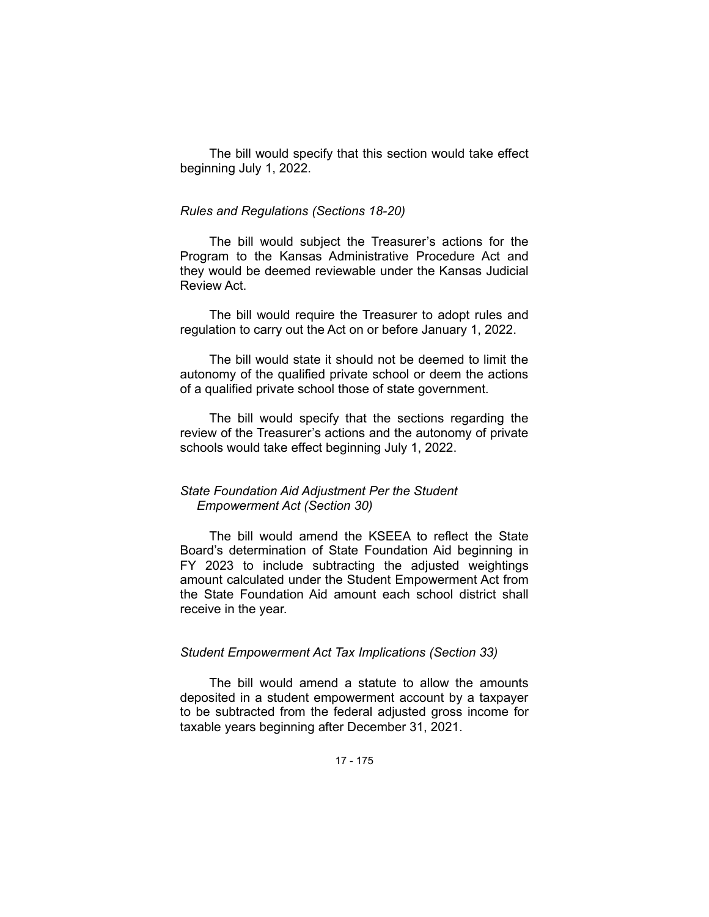The bill would specify that this section would take effect beginning July 1, 2022.

#### *Rules and Regulations (Sections 18-20)*

The bill would subject the Treasurer's actions for the Program to the Kansas Administrative Procedure Act and they would be deemed reviewable under the Kansas Judicial Review Act.

The bill would require the Treasurer to adopt rules and regulation to carry out the Act on or before January 1, 2022.

The bill would state it should not be deemed to limit the autonomy of the qualified private school or deem the actions of a qualified private school those of state government.

The bill would specify that the sections regarding the review of the Treasurer's actions and the autonomy of private schools would take effect beginning July 1, 2022.

## *State Foundation Aid Adjustment Per the Student Empowerment Act (Section 30)*

The bill would amend the KSEEA to reflect the State Board's determination of State Foundation Aid beginning in FY 2023 to include subtracting the adjusted weightings amount calculated under the Student Empowerment Act from the State Foundation Aid amount each school district shall receive in the year.

# *Student Empowerment Act Tax Implications (Section 33)*

The bill would amend a statute to allow the amounts deposited in a student empowerment account by a taxpayer to be subtracted from the federal adjusted gross income for taxable years beginning after December 31, 2021.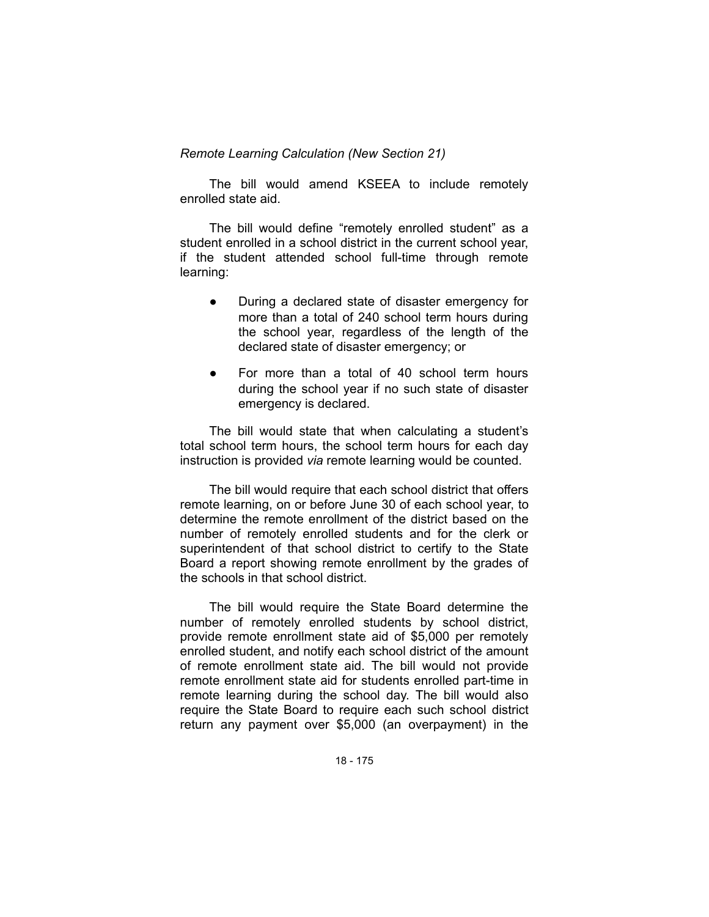*Remote Learning Calculation (New Section 21)*

The bill would amend KSEEA to include remotely enrolled state aid.

The bill would define "remotely enrolled student" as a student enrolled in a school district in the current school year, if the student attended school full-time through remote learning:

- During a declared state of disaster emergency for more than a total of 240 school term hours during the school year, regardless of the length of the declared state of disaster emergency; or
- For more than a total of 40 school term hours during the school year if no such state of disaster emergency is declared.

The bill would state that when calculating a student's total school term hours, the school term hours for each day instruction is provided *via* remote learning would be counted.

The bill would require that each school district that offers remote learning, on or before June 30 of each school year, to determine the remote enrollment of the district based on the number of remotely enrolled students and for the clerk or superintendent of that school district to certify to the State Board a report showing remote enrollment by the grades of the schools in that school district.

The bill would require the State Board determine the number of remotely enrolled students by school district, provide remote enrollment state aid of \$5,000 per remotely enrolled student, and notify each school district of the amount of remote enrollment state aid. The bill would not provide remote enrollment state aid for students enrolled part-time in remote learning during the school day. The bill would also require the State Board to require each such school district return any payment over \$5,000 (an overpayment) in the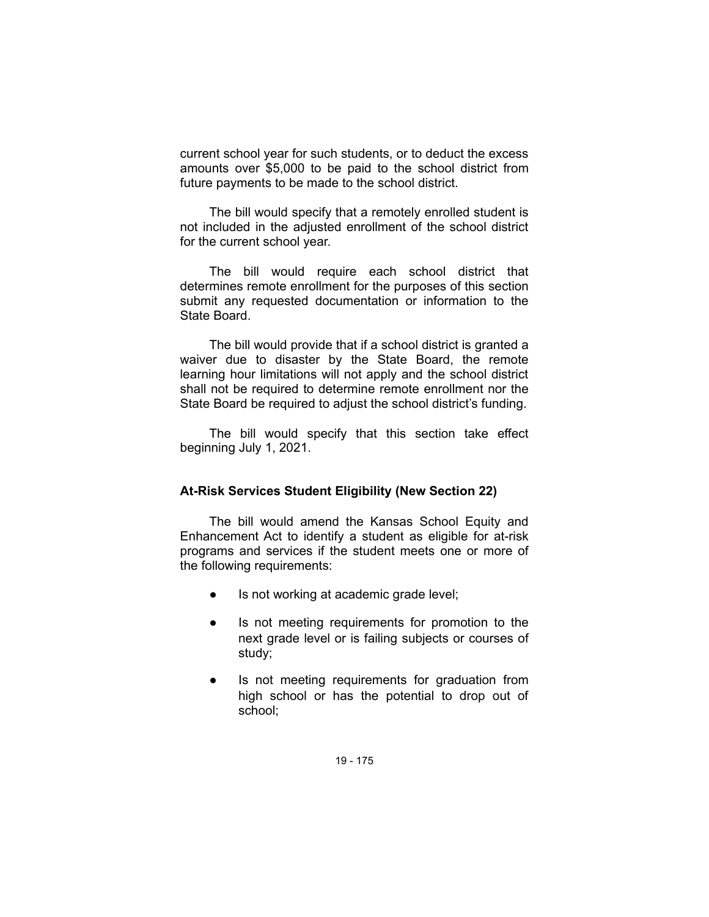current school year for such students, or to deduct the excess amounts over \$5,000 to be paid to the school district from future payments to be made to the school district.

The bill would specify that a remotely enrolled student is not included in the adjusted enrollment of the school district for the current school year.

The bill would require each school district that determines remote enrollment for the purposes of this section submit any requested documentation or information to the State Board.

The bill would provide that if a school district is granted a waiver due to disaster by the State Board, the remote learning hour limitations will not apply and the school district shall not be required to determine remote enrollment nor the State Board be required to adjust the school district's funding.

The bill would specify that this section take effect beginning July 1, 2021.

## **At-Risk Services Student Eligibility (New Section 22)**

The bill would amend the Kansas School Equity and Enhancement Act to identify a student as eligible for at-risk programs and services if the student meets one or more of the following requirements:

- Is not working at academic grade level;
- Is not meeting requirements for promotion to the next grade level or is failing subjects or courses of study;
- Is not meeting requirements for graduation from high school or has the potential to drop out of school;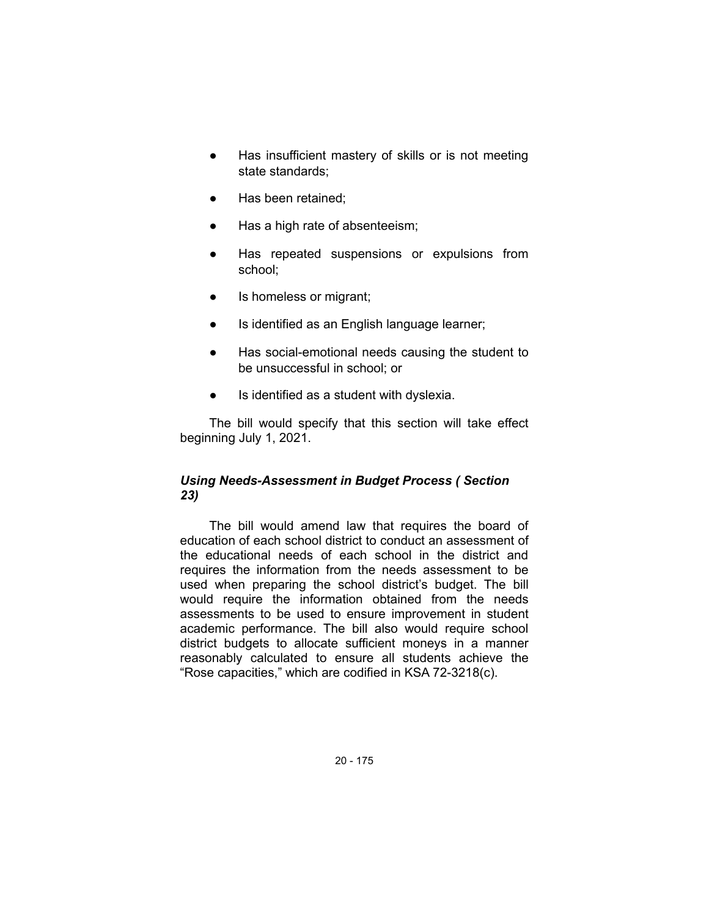- Has insufficient mastery of skills or is not meeting state standards;
- Has been retained;
- Has a high rate of absenteeism;
- Has repeated suspensions or expulsions from school;
- Is homeless or migrant;
- Is identified as an English language learner;
- Has social-emotional needs causing the student to be unsuccessful in school; or
- Is identified as a student with dyslexia.

The bill would specify that this section will take effect beginning July 1, 2021.

## *Using Needs-Assessment in Budget Process ( Section 23)*

The bill would amend law that requires the board of education of each school district to conduct an assessment of the educational needs of each school in the district and requires the information from the needs assessment to be used when preparing the school district's budget. The bill would require the information obtained from the needs assessments to be used to ensure improvement in student academic performance. The bill also would require school district budgets to allocate sufficient moneys in a manner reasonably calculated to ensure all students achieve the "Rose capacities," which are codified in KSA 72-3218(c).

20 - 175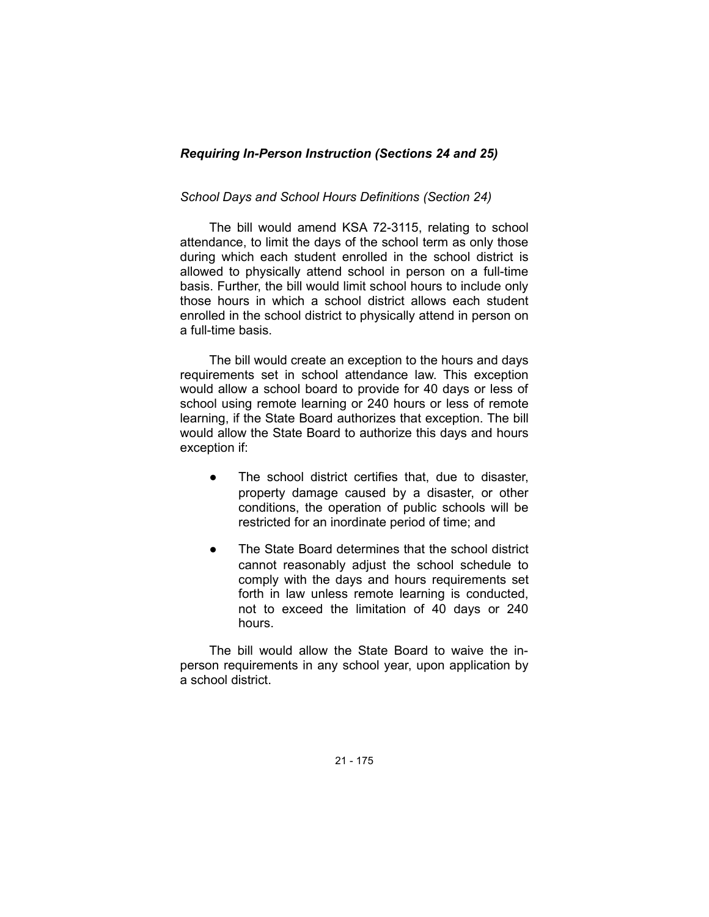# *Requiring In-Person Instruction (Sections 24 and 25)*

## *School Days and School Hours Definitions (Section 24)*

The bill would amend KSA 72-3115, relating to school attendance, to limit the days of the school term as only those during which each student enrolled in the school district is allowed to physically attend school in person on a full-time basis. Further, the bill would limit school hours to include only those hours in which a school district allows each student enrolled in the school district to physically attend in person on a full-time basis.

The bill would create an exception to the hours and days requirements set in school attendance law. This exception would allow a school board to provide for 40 days or less of school using remote learning or 240 hours or less of remote learning, if the State Board authorizes that exception. The bill would allow the State Board to authorize this days and hours exception if:

- The school district certifies that, due to disaster, property damage caused by a disaster, or other conditions, the operation of public schools will be restricted for an inordinate period of time; and
- The State Board determines that the school district cannot reasonably adjust the school schedule to comply with the days and hours requirements set forth in law unless remote learning is conducted, not to exceed the limitation of 40 days or 240 hours.

The bill would allow the State Board to waive the inperson requirements in any school year, upon application by a school district.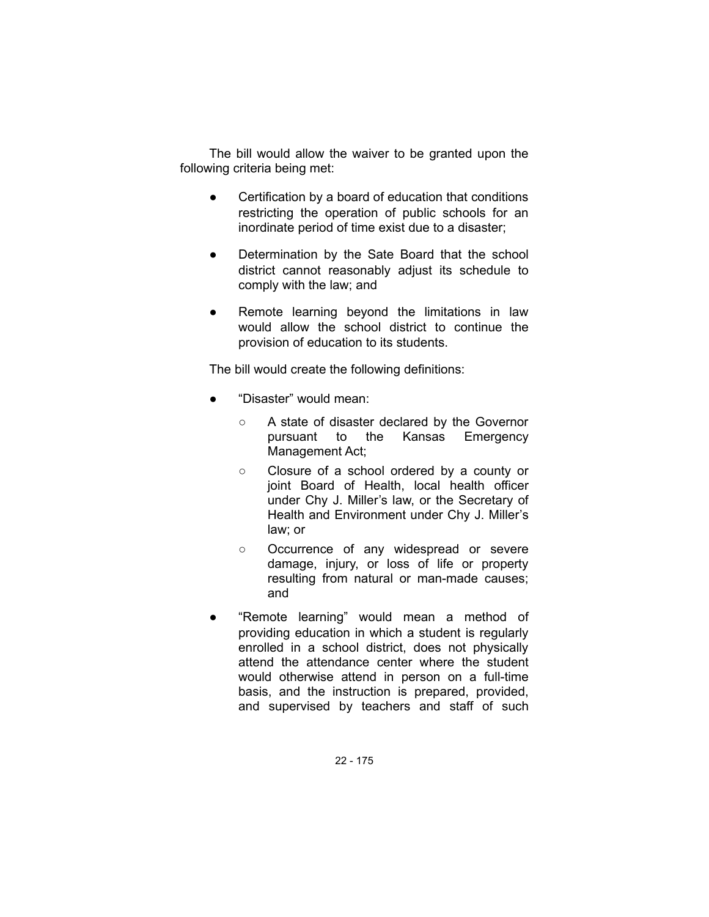The bill would allow the waiver to be granted upon the following criteria being met:

- Certification by a board of education that conditions restricting the operation of public schools for an inordinate period of time exist due to a disaster;
- Determination by the Sate Board that the school district cannot reasonably adjust its schedule to comply with the law; and
- Remote learning beyond the limitations in law would allow the school district to continue the provision of education to its students.

The bill would create the following definitions:

- "Disaster" would mean:
	- A state of disaster declared by the Governor pursuant to the Kansas Emergency Management Act;
	- Closure of a school ordered by a county or joint Board of Health, local health officer under Chy J. Miller's law, or the Secretary of Health and Environment under Chy J. Miller's law; or
	- Occurrence of any widespread or severe damage, injury, or loss of life or property resulting from natural or man-made causes; and
- "Remote learning" would mean a method of providing education in which a student is regularly enrolled in a school district, does not physically attend the attendance center where the student would otherwise attend in person on a full-time basis, and the instruction is prepared, provided, and supervised by teachers and staff of such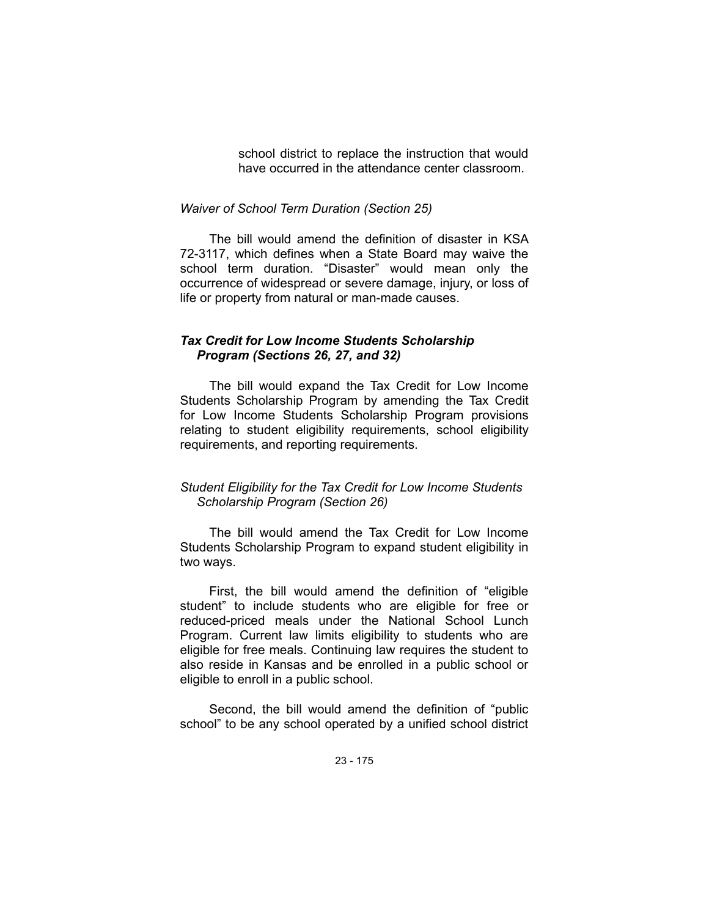school district to replace the instruction that would have occurred in the attendance center classroom.

### *Waiver of School Term Duration (Section 25)*

The bill would amend the definition of disaster in KSA 72-3117, which defines when a State Board may waive the school term duration. "Disaster" would mean only the occurrence of widespread or severe damage, injury, or loss of life or property from natural or man-made causes.

## *Tax Credit for Low Income Students Scholarship Program (Sections 26, 27, and 32)*

The bill would expand the Tax Credit for Low Income Students Scholarship Program by amending the Tax Credit for Low Income Students Scholarship Program provisions relating to student eligibility requirements, school eligibility requirements, and reporting requirements.

## *Student Eligibility for the Tax Credit for Low Income Students Scholarship Program (Section 26)*

The bill would amend the Tax Credit for Low Income Students Scholarship Program to expand student eligibility in two ways.

First, the bill would amend the definition of "eligible student" to include students who are eligible for free or reduced-priced meals under the National School Lunch Program. Current law limits eligibility to students who are eligible for free meals. Continuing law requires the student to also reside in Kansas and be enrolled in a public school or eligible to enroll in a public school.

Second, the bill would amend the definition of "public school" to be any school operated by a unified school district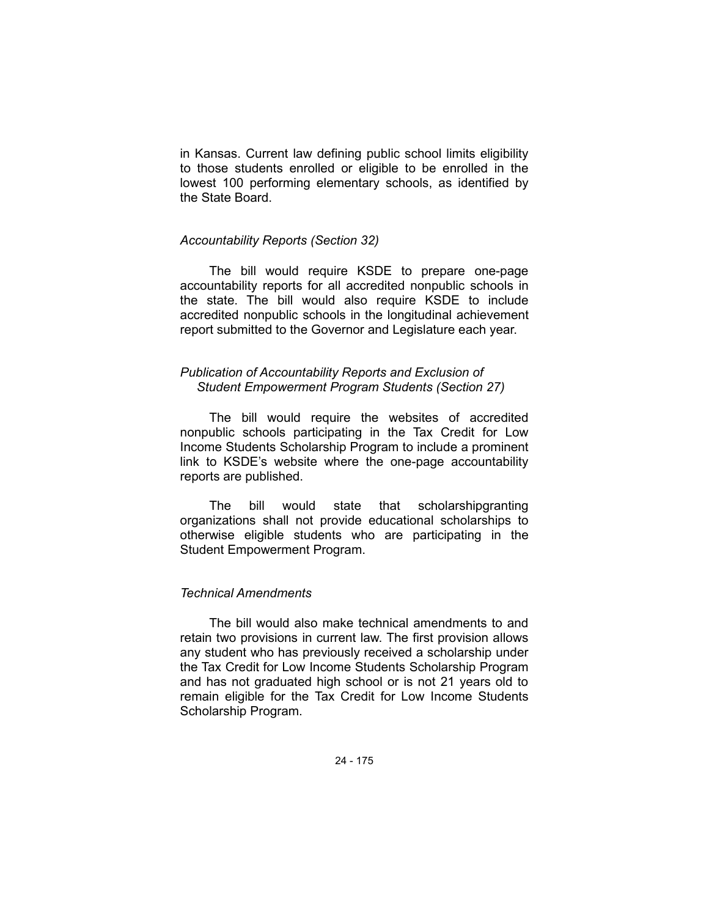in Kansas. Current law defining public school limits eligibility to those students enrolled or eligible to be enrolled in the lowest 100 performing elementary schools, as identified by the State Board.

## *Accountability Reports (Section 32)*

The bill would require KSDE to prepare one-page accountability reports for all accredited nonpublic schools in the state. The bill would also require KSDE to include accredited nonpublic schools in the longitudinal achievement report submitted to the Governor and Legislature each year.

## *Publication of Accountability Reports and Exclusion of Student Empowerment Program Students (Section 27)*

The bill would require the websites of accredited nonpublic schools participating in the Tax Credit for Low Income Students Scholarship Program to include a prominent link to KSDE's website where the one-page accountability reports are published.

The bill would state that scholarshipgranting organizations shall not provide educational scholarships to otherwise eligible students who are participating in the Student Empowerment Program.

# *Technical Amendments*

The bill would also make technical amendments to and retain two provisions in current law. The first provision allows any student who has previously received a scholarship under the Tax Credit for Low Income Students Scholarship Program and has not graduated high school or is not 21 years old to remain eligible for the Tax Credit for Low Income Students Scholarship Program.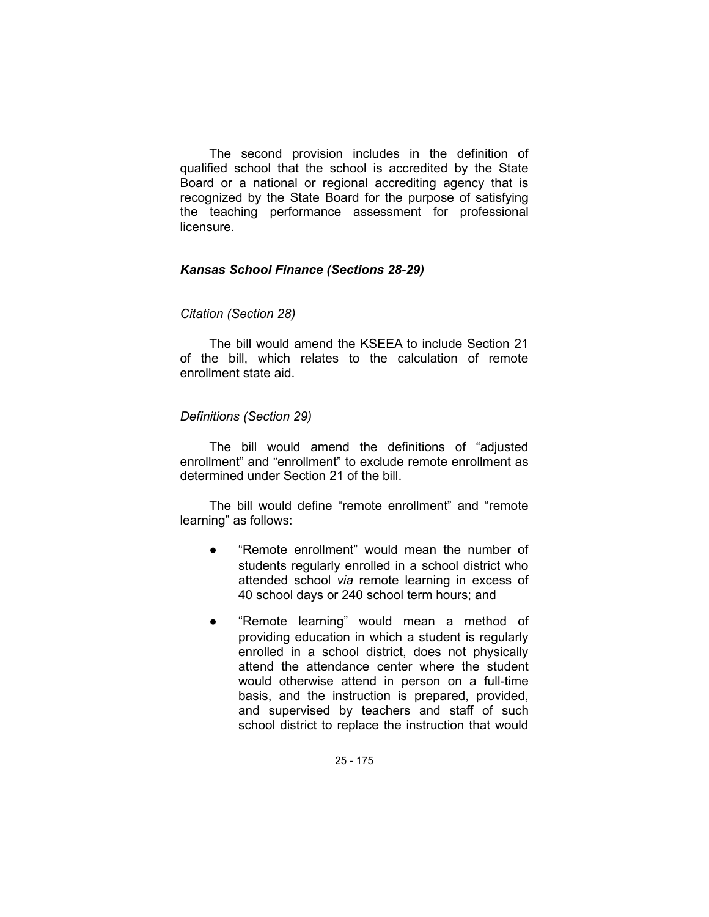The second provision includes in the definition of qualified school that the school is accredited by the State Board or a national or regional accrediting agency that is recognized by the State Board for the purpose of satisfying the teaching performance assessment for professional licensure.

## *Kansas School Finance (Sections 28-29)*

## *Citation (Section 28)*

The bill would amend the KSEEA to include Section 21 of the bill, which relates to the calculation of remote enrollment state aid.

## *Definitions (Section 29)*

The bill would amend the definitions of "adjusted enrollment" and "enrollment" to exclude remote enrollment as determined under Section 21 of the bill.

The bill would define "remote enrollment" and "remote learning" as follows:

- "Remote enrollment" would mean the number of students regularly enrolled in a school district who attended school *via* remote learning in excess of 40 school days or 240 school term hours; and
- "Remote learning" would mean a method of providing education in which a student is regularly enrolled in a school district, does not physically attend the attendance center where the student would otherwise attend in person on a full-time basis, and the instruction is prepared, provided, and supervised by teachers and staff of such school district to replace the instruction that would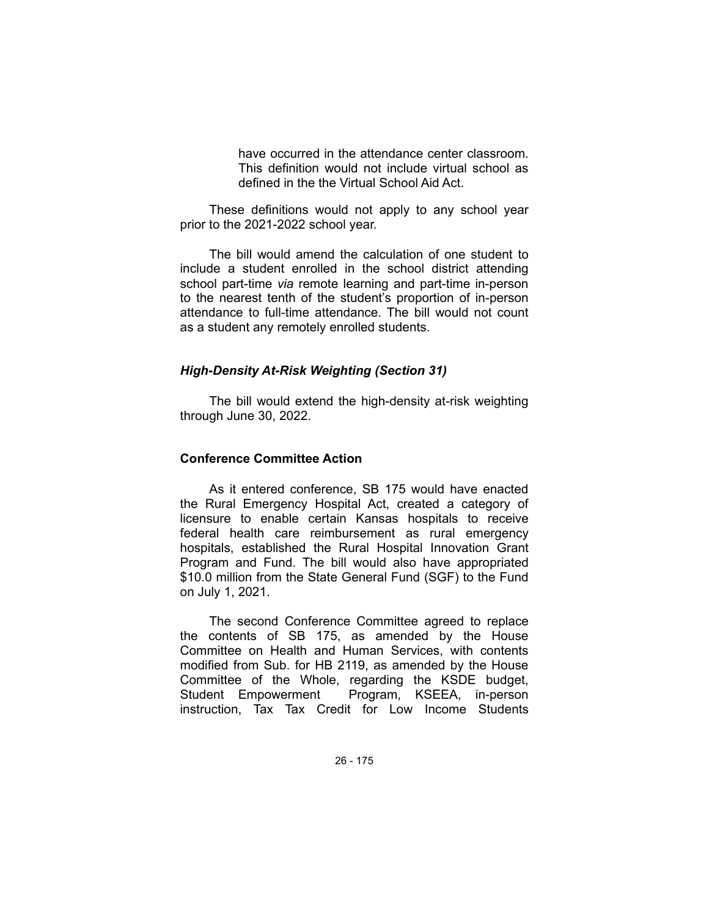have occurred in the attendance center classroom. This definition would not include virtual school as defined in the the Virtual School Aid Act.

These definitions would not apply to any school year prior to the 2021-2022 school year.

The bill would amend the calculation of one student to include a student enrolled in the school district attending school part-time *via* remote learning and part-time in-person to the nearest tenth of the student's proportion of in-person attendance to full-time attendance. The bill would not count as a student any remotely enrolled students.

## *High-Density At-Risk Weighting (Section 31)*

The bill would extend the high-density at-risk weighting through June 30, 2022.

### **Conference Committee Action**

As it entered conference, SB 175 would have enacted the Rural Emergency Hospital Act, created a category of licensure to enable certain Kansas hospitals to receive federal health care reimbursement as rural emergency hospitals, established the Rural Hospital Innovation Grant Program and Fund. The bill would also have appropriated \$10.0 million from the State General Fund (SGF) to the Fund on July 1, 2021.

The second Conference Committee agreed to replace the contents of SB 175, as amended by the House Committee on Health and Human Services, with contents modified from Sub. for HB 2119, as amended by the House Committee of the Whole, regarding the KSDE budget, Student Empowerment Program, KSEEA, in-person instruction, Tax Tax Credit for Low Income Students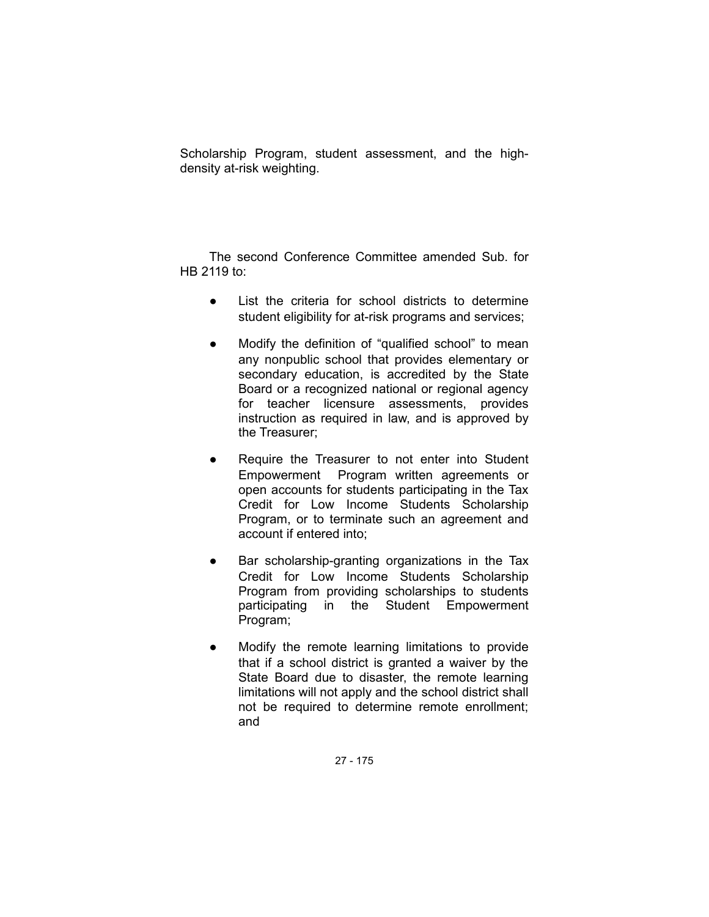Scholarship Program, student assessment, and the highdensity at-risk weighting.

The second Conference Committee amended Sub. for HB 2119 to:

- List the criteria for school districts to determine student eligibility for at-risk programs and services;
- Modify the definition of "qualified school" to mean any nonpublic school that provides elementary or secondary education, is accredited by the State Board or a recognized national or regional agency for teacher licensure assessments, provides instruction as required in law, and is approved by the Treasurer;
- Require the Treasurer to not enter into Student Empowerment Program written agreements or open accounts for students participating in the Tax Credit for Low Income Students Scholarship Program, or to terminate such an agreement and account if entered into;
- Bar scholarship-granting organizations in the Tax Credit for Low Income Students Scholarship Program from providing scholarships to students participating in the Student Empowerment Program;
- Modify the remote learning limitations to provide that if a school district is granted a waiver by the State Board due to disaster, the remote learning limitations will not apply and the school district shall not be required to determine remote enrollment; and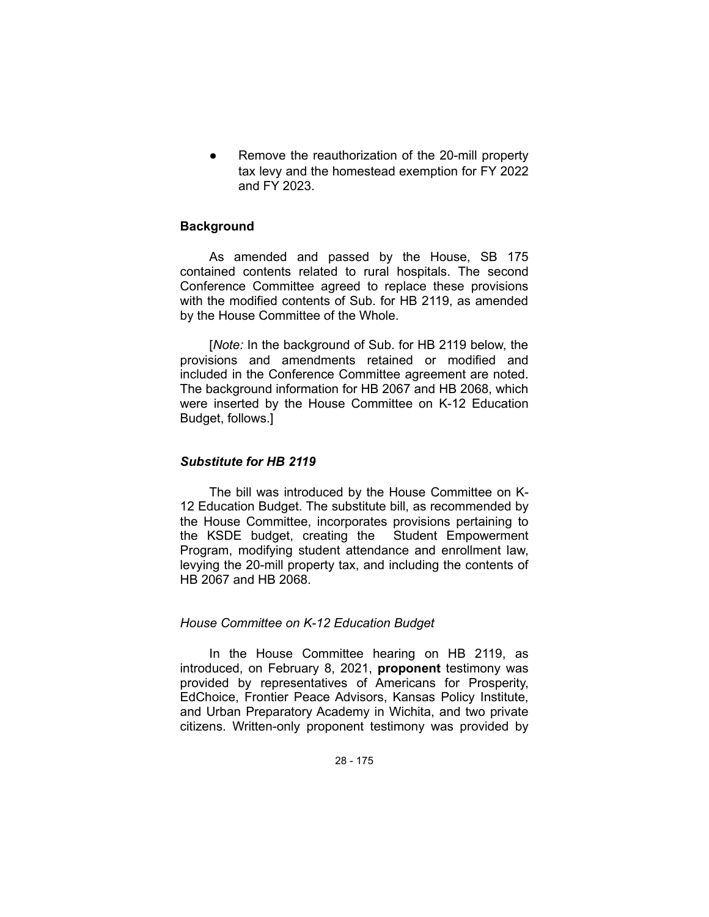Remove the reauthorization of the 20-mill property tax levy and the homestead exemption for FY 2022 and FY 2023.

## **Background**

As amended and passed by the House, SB 175 contained contents related to rural hospitals. The second Conference Committee agreed to replace these provisions with the modified contents of Sub. for HB 2119, as amended by the House Committee of the Whole.

[*Note:* In the background of Sub. for HB 2119 below, the provisions and amendments retained or modified and included in the Conference Committee agreement are noted. The background information for HB 2067 and HB 2068, which were inserted by the House Committee on K-12 Education Budget, follows.]

### *Substitute for HB 2119*

The bill was introduced by the House Committee on K-12 Education Budget. The substitute bill, as recommended by the House Committee, incorporates provisions pertaining to the KSDE budget, creating the Student Empowerment Program, modifying student attendance and enrollment law, levying the 20-mill property tax, and including the contents of HB 2067 and HB 2068.

### *House Committee on K-12 Education Budget*

In the House Committee hearing on HB 2119, as introduced, on February 8, 2021, **proponent** testimony was provided by representatives of Americans for Prosperity, EdChoice, Frontier Peace Advisors, Kansas Policy Institute, and Urban Preparatory Academy in Wichita, and two private citizens. Written-only proponent testimony was provided by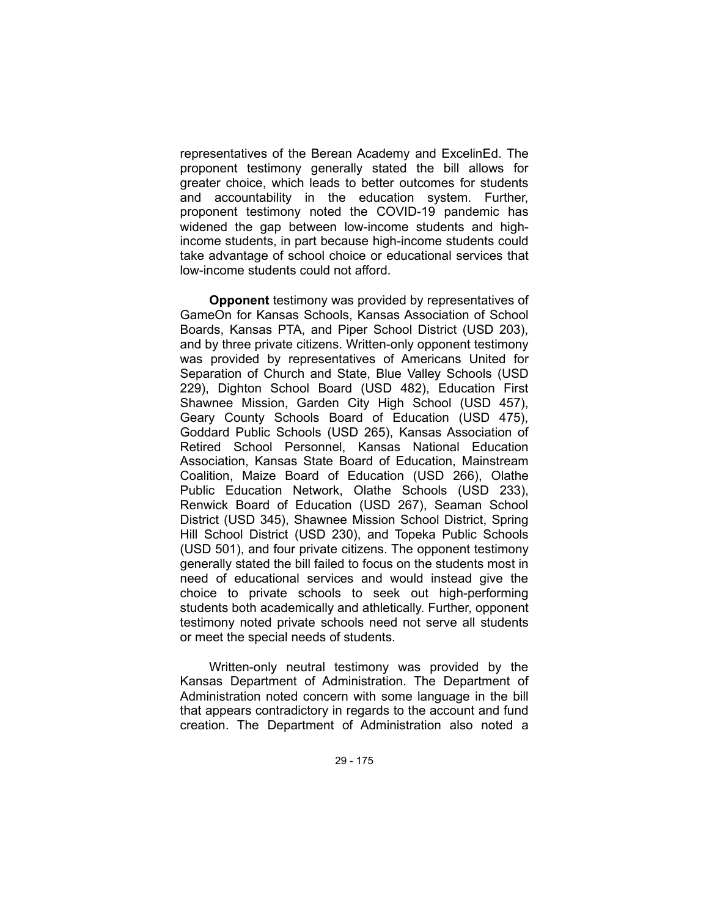representatives of the Berean Academy and ExcelinEd. The proponent testimony generally stated the bill allows for greater choice, which leads to better outcomes for students and accountability in the education system. Further, proponent testimony noted the COVID-19 pandemic has widened the gap between low-income students and highincome students, in part because high-income students could take advantage of school choice or educational services that low-income students could not afford.

**Opponent** testimony was provided by representatives of GameOn for Kansas Schools, Kansas Association of School Boards, Kansas PTA, and Piper School District (USD 203), and by three private citizens. Written-only opponent testimony was provided by representatives of Americans United for Separation of Church and State, Blue Valley Schools (USD 229), Dighton School Board (USD 482), Education First Shawnee Mission, Garden City High School (USD 457), Geary County Schools Board of Education (USD 475), Goddard Public Schools (USD 265), Kansas Association of Retired School Personnel, Kansas National Education Association, Kansas State Board of Education, Mainstream Coalition, Maize Board of Education (USD 266), Olathe Public Education Network, Olathe Schools (USD 233), Renwick Board of Education (USD 267), Seaman School District (USD 345), Shawnee Mission School District, Spring Hill School District (USD 230), and Topeka Public Schools (USD 501), and four private citizens. The opponent testimony generally stated the bill failed to focus on the students most in need of educational services and would instead give the choice to private schools to seek out high-performing students both academically and athletically. Further, opponent testimony noted private schools need not serve all students or meet the special needs of students.

Written-only neutral testimony was provided by the Kansas Department of Administration. The Department of Administration noted concern with some language in the bill that appears contradictory in regards to the account and fund creation. The Department of Administration also noted a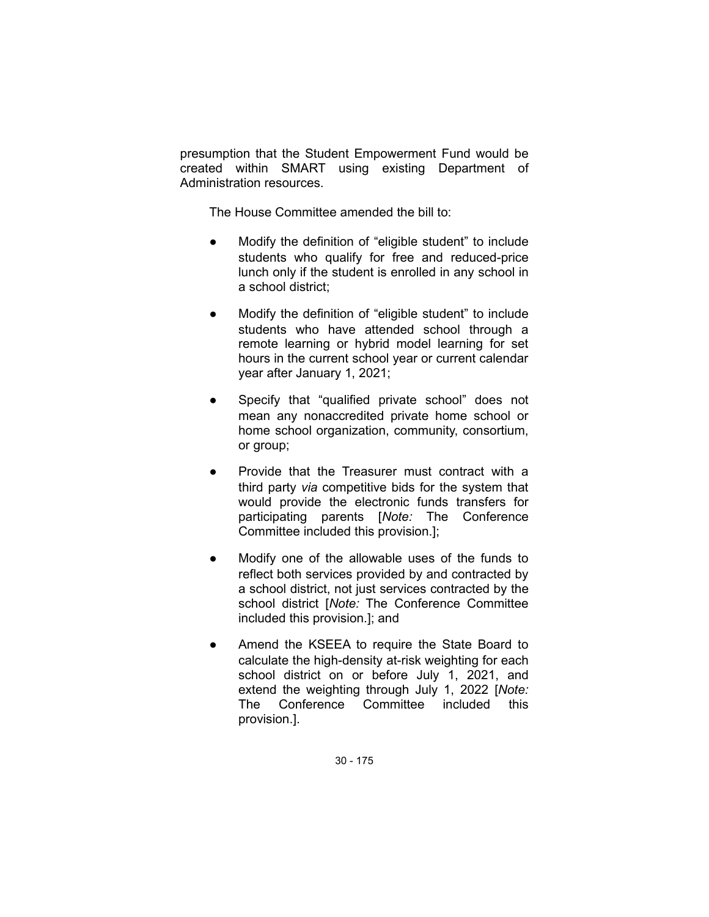presumption that the Student Empowerment Fund would be created within SMART using existing Department of Administration resources.

The House Committee amended the bill to:

- Modify the definition of "eligible student" to include students who qualify for free and reduced-price lunch only if the student is enrolled in any school in a school district;
- Modify the definition of "eligible student" to include students who have attended school through a remote learning or hybrid model learning for set hours in the current school year or current calendar year after January 1, 2021;
- Specify that "qualified private school" does not mean any nonaccredited private home school or home school organization, community, consortium, or group;
- Provide that the Treasurer must contract with a third party *via* competitive bids for the system that would provide the electronic funds transfers for participating parents [*Note:* The Conference Committee included this provision.];
- Modify one of the allowable uses of the funds to reflect both services provided by and contracted by a school district, not just services contracted by the school district [*Note:* The Conference Committee included this provision.]; and
- Amend the KSEEA to require the State Board to calculate the high-density at-risk weighting for each school district on or before July 1, 2021, and extend the weighting through July 1, 2022 [*Note:* The Conference Committee included this provision.].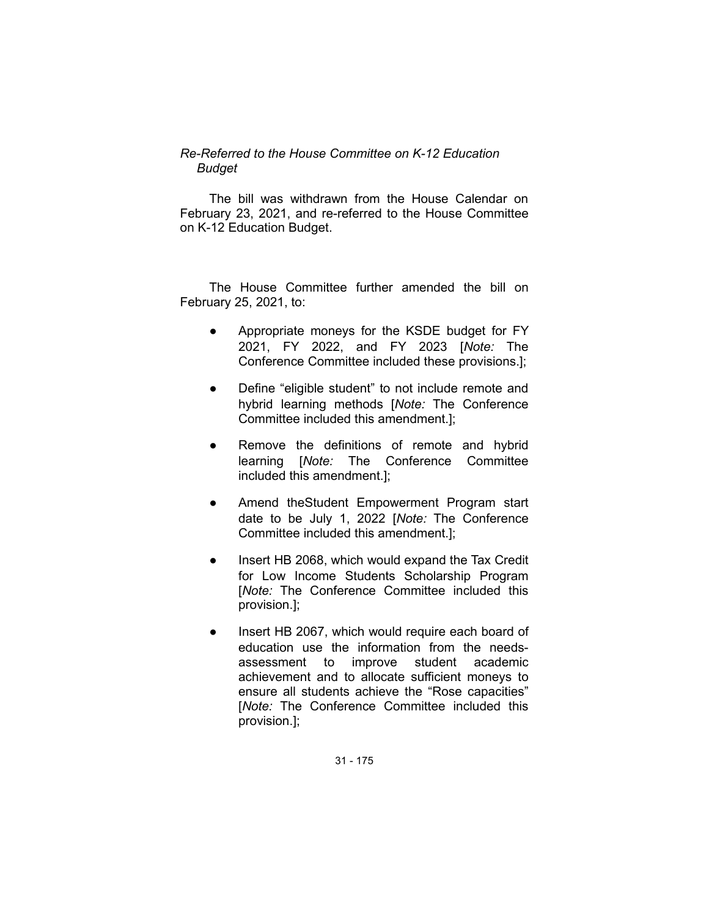# *Re-Referred to the House Committee on K-12 Education Budget*

The bill was withdrawn from the House Calendar on February 23, 2021, and re-referred to the House Committee on K-12 Education Budget.

The House Committee further amended the bill on February 25, 2021, to:

- Appropriate moneys for the KSDE budget for FY 2021, FY 2022, and FY 2023 [*Note:* The Conference Committee included these provisions.];
- Define "eligible student" to not include remote and hybrid learning methods [*Note:* The Conference Committee included this amendment.];
- Remove the definitions of remote and hybrid learning [*Note:* The Conference Committee included this amendment.];
- Amend theStudent Empowerment Program start date to be July 1, 2022 [*Note:* The Conference Committee included this amendment.];
- Insert HB 2068, which would expand the Tax Credit for Low Income Students Scholarship Program [*Note:* The Conference Committee included this provision.];
- Insert HB 2067, which would require each board of education use the information from the needsassessment to improve student academic achievement and to allocate sufficient moneys to ensure all students achieve the "Rose capacities" [*Note:* The Conference Committee included this provision.];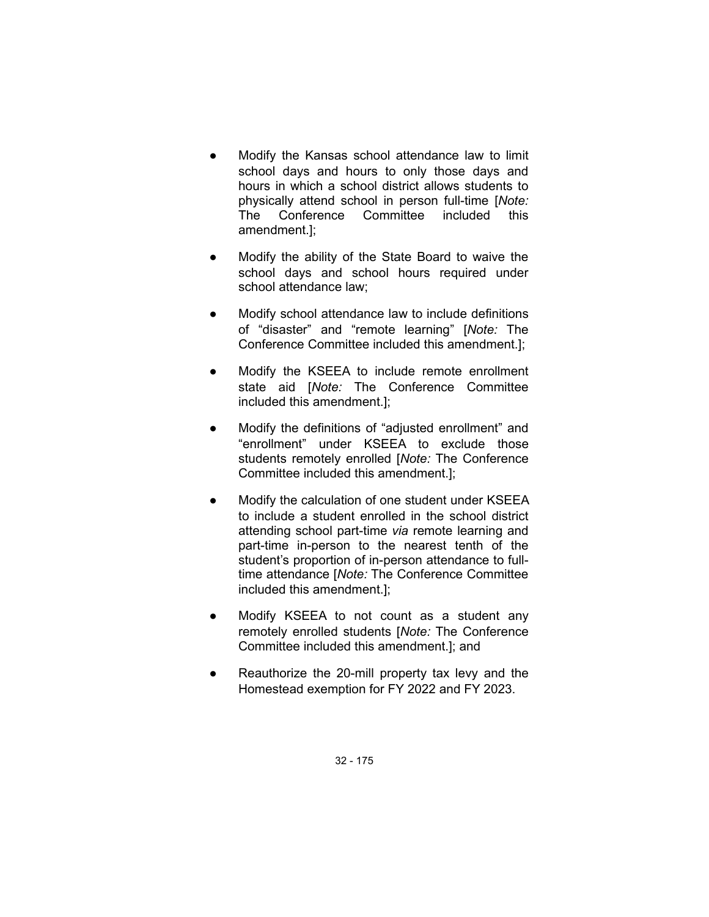- Modify the Kansas school attendance law to limit school days and hours to only those days and hours in which a school district allows students to physically attend school in person full-time [*Note:* The Conference Committee included this amendment.];
- Modify the ability of the State Board to waive the school days and school hours required under school attendance law;
- Modify school attendance law to include definitions of "disaster" and "remote learning" [*Note:* The Conference Committee included this amendment.];
- Modify the KSEEA to include remote enrollment state aid [*Note:* The Conference Committee included this amendment.];
- Modify the definitions of "adjusted enrollment" and "enrollment" under KSEEA to exclude those students remotely enrolled [*Note:* The Conference Committee included this amendment.];
- Modify the calculation of one student under KSEEA to include a student enrolled in the school district attending school part-time *via* remote learning and part-time in-person to the nearest tenth of the student's proportion of in-person attendance to fulltime attendance [*Note:* The Conference Committee included this amendment.];
- Modify KSEEA to not count as a student any remotely enrolled students [*Note:* The Conference Committee included this amendment.]; and
- Reauthorize the 20-mill property tax levy and the Homestead exemption for FY 2022 and FY 2023.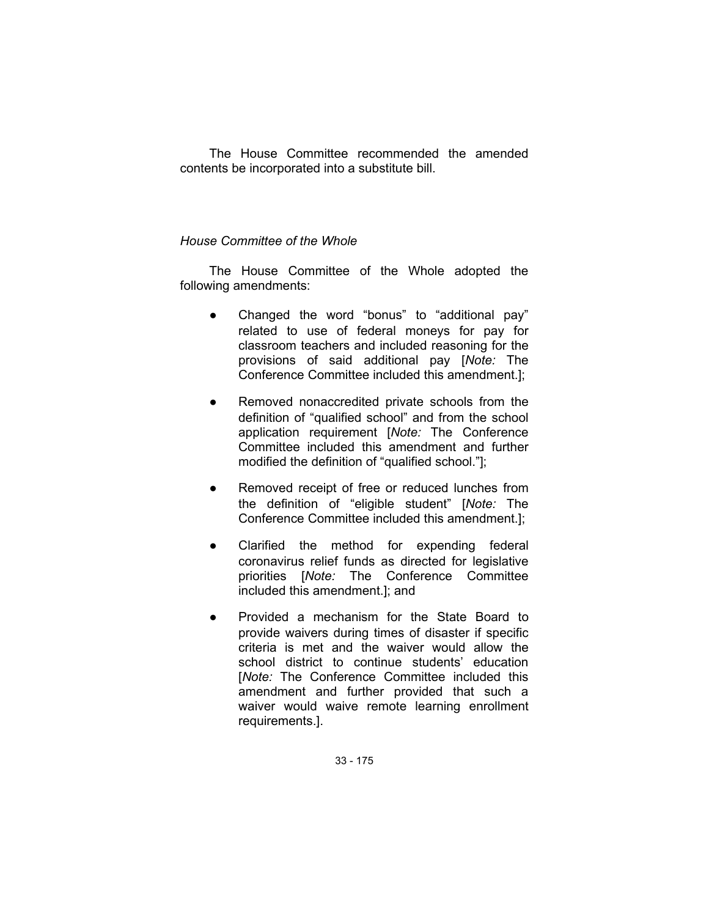The House Committee recommended the amended contents be incorporated into a substitute bill.

## *House Committee of the Whole*

The House Committee of the Whole adopted the following amendments:

- Changed the word "bonus" to "additional pay" related to use of federal moneys for pay for classroom teachers and included reasoning for the provisions of said additional pay [*Note:* The Conference Committee included this amendment.];
- Removed nonaccredited private schools from the definition of "qualified school" and from the school application requirement [*Note:* The Conference Committee included this amendment and further modified the definition of "qualified school."];
- Removed receipt of free or reduced lunches from the definition of "eligible student" [*Note:* The Conference Committee included this amendment.];
- Clarified the method for expending federal coronavirus relief funds as directed for legislative priorities [*Note:* The Conference Committee included this amendment.]; and
- Provided a mechanism for the State Board to provide waivers during times of disaster if specific criteria is met and the waiver would allow the school district to continue students' education [*Note:* The Conference Committee included this amendment and further provided that such a waiver would waive remote learning enrollment requirements.].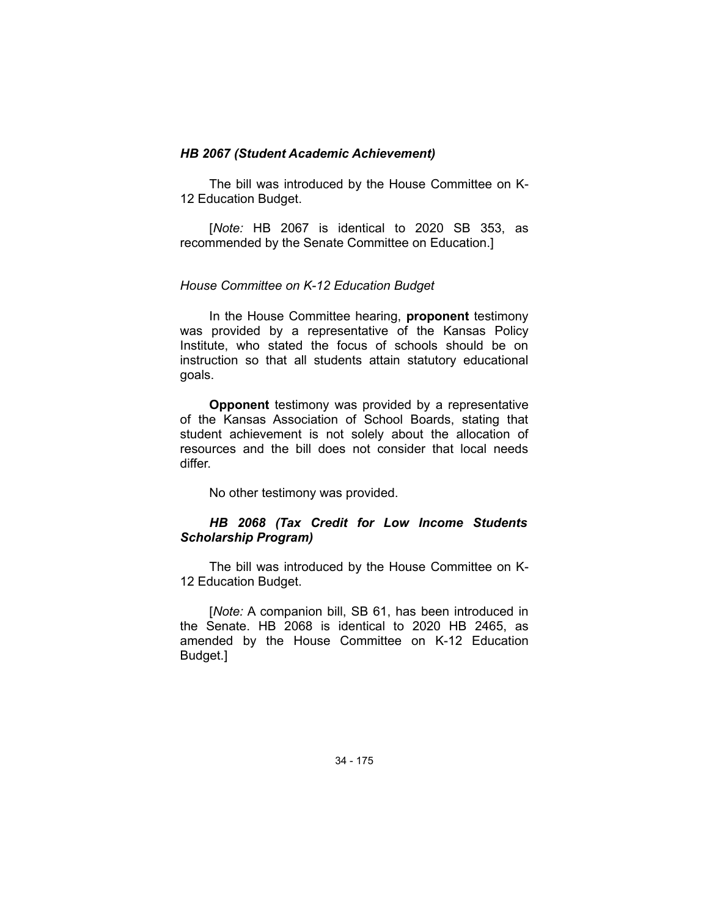### *HB 2067 (Student Academic Achievement)*

The bill was introduced by the House Committee on K-12 Education Budget.

[*Note:* HB 2067 is identical to 2020 SB 353, as recommended by the Senate Committee on Education.]

### *House Committee on K-12 Education Budget*

In the House Committee hearing, **proponent** testimony was provided by a representative of the Kansas Policy Institute, who stated the focus of schools should be on instruction so that all students attain statutory educational goals.

**Opponent** testimony was provided by a representative of the Kansas Association of School Boards, stating that student achievement is not solely about the allocation of resources and the bill does not consider that local needs differ.

No other testimony was provided.

## *HB 2068 (Tax Credit for Low Income Students Scholarship Program)*

The bill was introduced by the House Committee on K-12 Education Budget.

[*Note:* A companion bill, SB 61, has been introduced in the Senate. HB 2068 is identical to 2020 HB 2465, as amended by the House Committee on K-12 Education Budget.]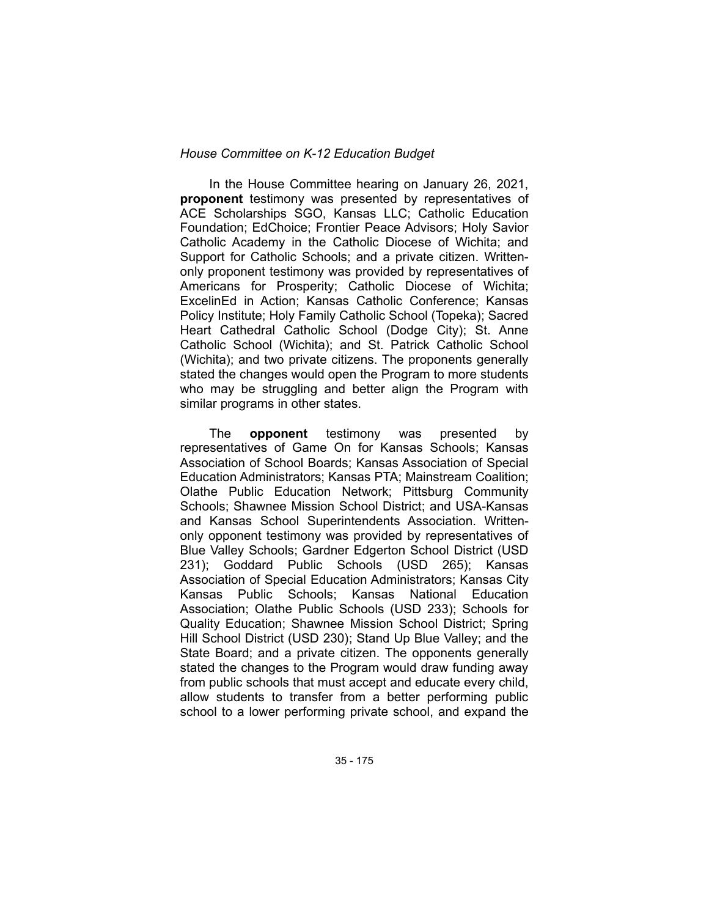### *House Committee on K-12 Education Budget*

In the House Committee hearing on January 26, 2021, **proponent** testimony was presented by representatives of ACE Scholarships SGO, Kansas LLC; Catholic Education Foundation; EdChoice; Frontier Peace Advisors; Holy Savior Catholic Academy in the Catholic Diocese of Wichita; and Support for Catholic Schools; and a private citizen. Writtenonly proponent testimony was provided by representatives of Americans for Prosperity; Catholic Diocese of Wichita; ExcelinEd in Action; Kansas Catholic Conference; Kansas Policy Institute; Holy Family Catholic School (Topeka); Sacred Heart Cathedral Catholic School (Dodge City); St. Anne Catholic School (Wichita); and St. Patrick Catholic School (Wichita); and two private citizens. The proponents generally stated the changes would open the Program to more students who may be struggling and better align the Program with similar programs in other states.

The **opponent** testimony was presented by representatives of Game On for Kansas Schools; Kansas Association of School Boards; Kansas Association of Special Education Administrators; Kansas PTA; Mainstream Coalition; Olathe Public Education Network; Pittsburg Community Schools; Shawnee Mission School District; and USA-Kansas and Kansas School Superintendents Association. Writtenonly opponent testimony was provided by representatives of Blue Valley Schools; Gardner Edgerton School District (USD 231); Goddard Public Schools (USD 265); Kansas Association of Special Education Administrators; Kansas City Kansas Public Schools; Kansas National Education Association; Olathe Public Schools (USD 233); Schools for Quality Education; Shawnee Mission School District; Spring Hill School District (USD 230); Stand Up Blue Valley; and the State Board; and a private citizen. The opponents generally stated the changes to the Program would draw funding away from public schools that must accept and educate every child, allow students to transfer from a better performing public school to a lower performing private school, and expand the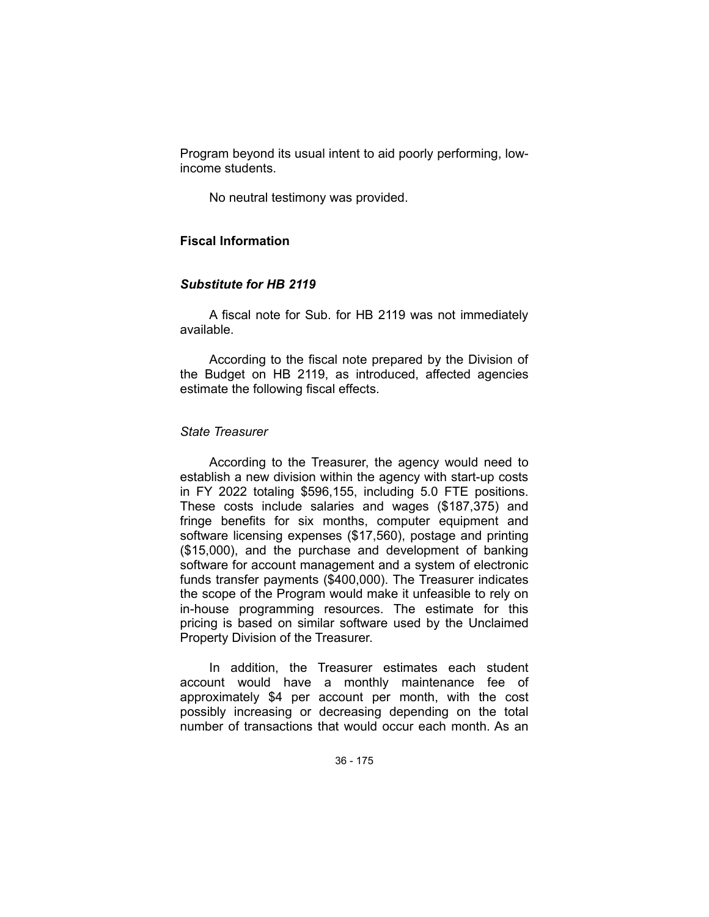Program beyond its usual intent to aid poorly performing, lowincome students.

No neutral testimony was provided.

## **Fiscal Information**

### *Substitute for HB 2119*

A fiscal note for Sub. for HB 2119 was not immediately available.

According to the fiscal note prepared by the Division of the Budget on HB 2119, as introduced, affected agencies estimate the following fiscal effects.

### *State Treasurer*

According to the Treasurer, the agency would need to establish a new division within the agency with start-up costs in FY 2022 totaling \$596,155, including 5.0 FTE positions. These costs include salaries and wages (\$187,375) and fringe benefits for six months, computer equipment and software licensing expenses (\$17,560), postage and printing (\$15,000), and the purchase and development of banking software for account management and a system of electronic funds transfer payments (\$400,000). The Treasurer indicates the scope of the Program would make it unfeasible to rely on in-house programming resources. The estimate for this pricing is based on similar software used by the Unclaimed Property Division of the Treasurer.

In addition, the Treasurer estimates each student account would have a monthly maintenance fee of approximately \$4 per account per month, with the cost possibly increasing or decreasing depending on the total number of transactions that would occur each month. As an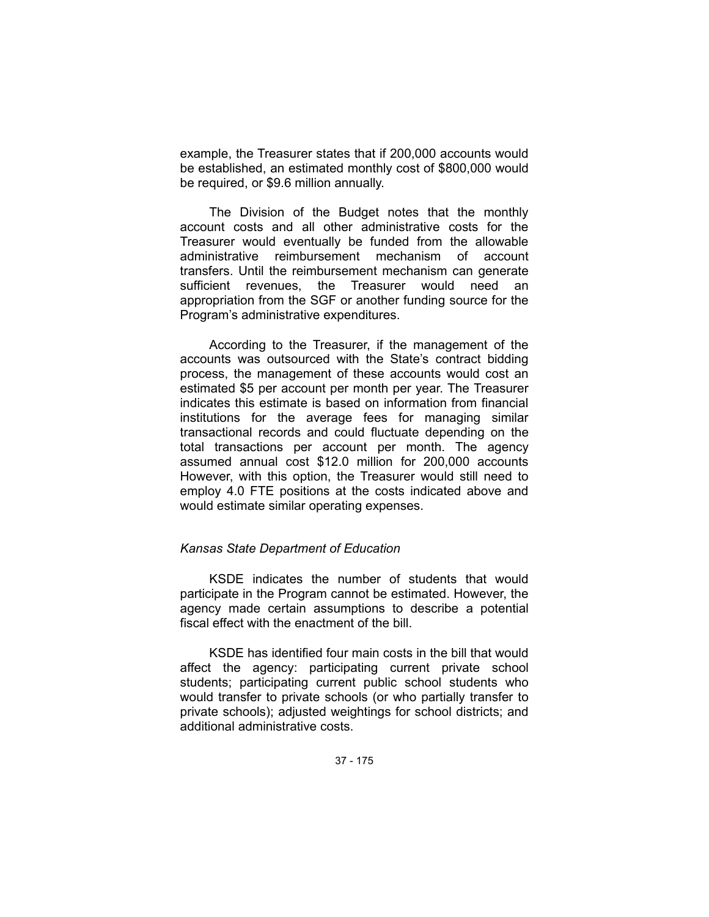example, the Treasurer states that if 200,000 accounts would be established, an estimated monthly cost of \$800,000 would be required, or \$9.6 million annually.

The Division of the Budget notes that the monthly account costs and all other administrative costs for the Treasurer would eventually be funded from the allowable administrative reimbursement mechanism of account transfers. Until the reimbursement mechanism can generate sufficient revenues, the Treasurer would need an appropriation from the SGF or another funding source for the Program's administrative expenditures.

According to the Treasurer, if the management of the accounts was outsourced with the State's contract bidding process, the management of these accounts would cost an estimated \$5 per account per month per year. The Treasurer indicates this estimate is based on information from financial institutions for the average fees for managing similar transactional records and could fluctuate depending on the total transactions per account per month. The agency assumed annual cost \$12.0 million for 200,000 accounts However, with this option, the Treasurer would still need to employ 4.0 FTE positions at the costs indicated above and would estimate similar operating expenses.

## *Kansas State Department of Education*

KSDE indicates the number of students that would participate in the Program cannot be estimated. However, the agency made certain assumptions to describe a potential fiscal effect with the enactment of the bill.

KSDE has identified four main costs in the bill that would affect the agency: participating current private school students; participating current public school students who would transfer to private schools (or who partially transfer to private schools); adjusted weightings for school districts; and additional administrative costs.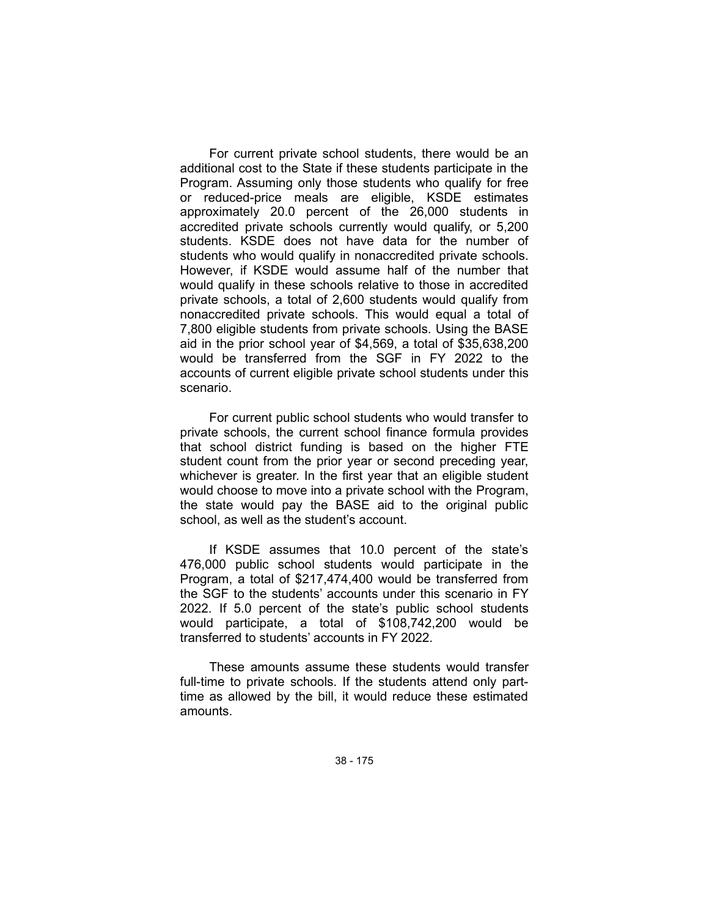For current private school students, there would be an additional cost to the State if these students participate in the Program. Assuming only those students who qualify for free or reduced-price meals are eligible, KSDE estimates approximately 20.0 percent of the 26,000 students in accredited private schools currently would qualify, or 5,200 students. KSDE does not have data for the number of students who would qualify in nonaccredited private schools. However, if KSDE would assume half of the number that would qualify in these schools relative to those in accredited private schools, a total of 2,600 students would qualify from nonaccredited private schools. This would equal a total of 7,800 eligible students from private schools. Using the BASE aid in the prior school year of \$4,569, a total of \$35,638,200 would be transferred from the SGF in FY 2022 to the accounts of current eligible private school students under this scenario.

For current public school students who would transfer to private schools, the current school finance formula provides that school district funding is based on the higher FTE student count from the prior year or second preceding year, whichever is greater. In the first year that an eligible student would choose to move into a private school with the Program, the state would pay the BASE aid to the original public school, as well as the student's account.

If KSDE assumes that 10.0 percent of the state's 476,000 public school students would participate in the Program, a total of \$217,474,400 would be transferred from the SGF to the students' accounts under this scenario in FY 2022. If 5.0 percent of the state's public school students would participate, a total of \$108,742,200 would be transferred to students' accounts in FY 2022.

These amounts assume these students would transfer full-time to private schools. If the students attend only parttime as allowed by the bill, it would reduce these estimated amounts.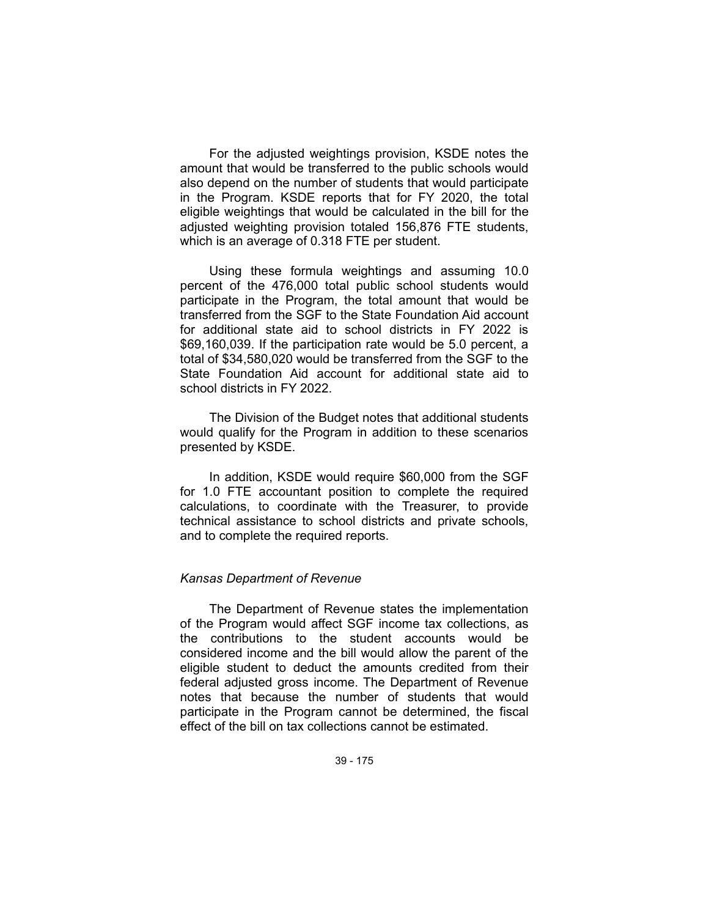For the adjusted weightings provision, KSDE notes the amount that would be transferred to the public schools would also depend on the number of students that would participate in the Program. KSDE reports that for FY 2020, the total eligible weightings that would be calculated in the bill for the adjusted weighting provision totaled 156,876 FTE students, which is an average of 0.318 FTE per student.

Using these formula weightings and assuming 10.0 percent of the 476,000 total public school students would participate in the Program, the total amount that would be transferred from the SGF to the State Foundation Aid account for additional state aid to school districts in FY 2022 is \$69,160,039. If the participation rate would be 5.0 percent, a total of \$34,580,020 would be transferred from the SGF to the State Foundation Aid account for additional state aid to school districts in FY 2022.

The Division of the Budget notes that additional students would qualify for the Program in addition to these scenarios presented by KSDE.

In addition, KSDE would require \$60,000 from the SGF for 1.0 FTE accountant position to complete the required calculations, to coordinate with the Treasurer, to provide technical assistance to school districts and private schools, and to complete the required reports.

## *Kansas Department of Revenue*

The Department of Revenue states the implementation of the Program would affect SGF income tax collections, as the contributions to the student accounts would be considered income and the bill would allow the parent of the eligible student to deduct the amounts credited from their federal adjusted gross income. The Department of Revenue notes that because the number of students that would participate in the Program cannot be determined, the fiscal effect of the bill on tax collections cannot be estimated.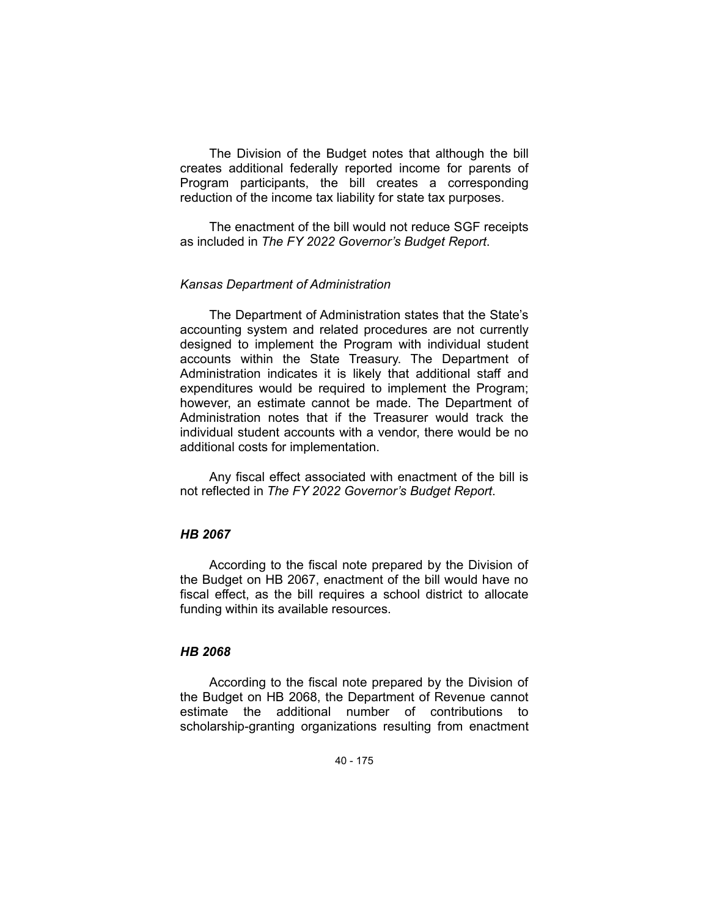The Division of the Budget notes that although the bill creates additional federally reported income for parents of Program participants, the bill creates a corresponding reduction of the income tax liability for state tax purposes.

The enactment of the bill would not reduce SGF receipts as included in *The FY 2022 Governor's Budget Report*.

### *Kansas Department of Administration*

The Department of Administration states that the State's accounting system and related procedures are not currently designed to implement the Program with individual student accounts within the State Treasury. The Department of Administration indicates it is likely that additional staff and expenditures would be required to implement the Program; however, an estimate cannot be made. The Department of Administration notes that if the Treasurer would track the individual student accounts with a vendor, there would be no additional costs for implementation.

Any fiscal effect associated with enactment of the bill is not reflected in *The FY 2022 Governor's Budget Report*.

## *HB 2067*

According to the fiscal note prepared by the Division of the Budget on HB 2067, enactment of the bill would have no fiscal effect, as the bill requires a school district to allocate funding within its available resources.

## *HB 2068*

According to the fiscal note prepared by the Division of the Budget on HB 2068, the Department of Revenue cannot estimate the additional number of contributions to scholarship-granting organizations resulting from enactment